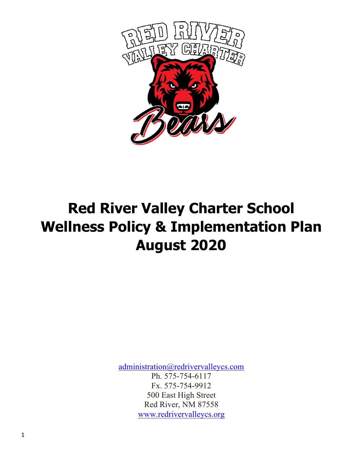

# **Red River Valley Charter School Wellness Policy & Implementation Plan August 2020**

administration@redrivervalleycs.com Ph. 575-754-6117 Fx. 575-754-9912 500 East High Street Red River, NM 87558 www.redrivervalleycs.org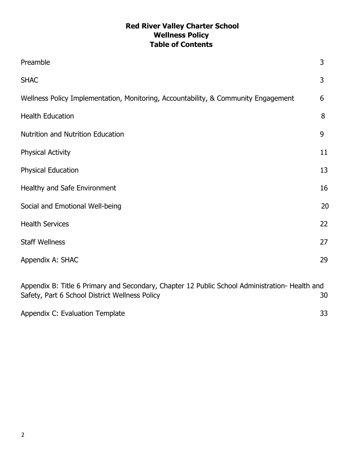# **Red River Valley Charter School Wellness Policy Table of Contents**

| Preamble                                                                                                                                         | 3  |
|--------------------------------------------------------------------------------------------------------------------------------------------------|----|
| <b>SHAC</b>                                                                                                                                      | 3  |
| Wellness Policy Implementation, Monitoring, Accountability, & Community Engagement                                                               | 6  |
| <b>Health Education</b>                                                                                                                          | 8  |
| <b>Nutrition and Nutrition Education</b>                                                                                                         | 9  |
| <b>Physical Activity</b>                                                                                                                         | 11 |
| <b>Physical Education</b>                                                                                                                        | 13 |
| Healthy and Safe Environment                                                                                                                     | 16 |
| Social and Emotional Well-being                                                                                                                  | 20 |
| <b>Health Services</b>                                                                                                                           | 22 |
| <b>Staff Wellness</b>                                                                                                                            | 27 |
| Appendix A: SHAC                                                                                                                                 | 29 |
| Appendix B: Title 6 Primary and Secondary, Chapter 12 Public School Administration- Health and<br>Safety, Part 6 School District Wellness Policy | 30 |

| Appendix C: Evaluation Template |  |
|---------------------------------|--|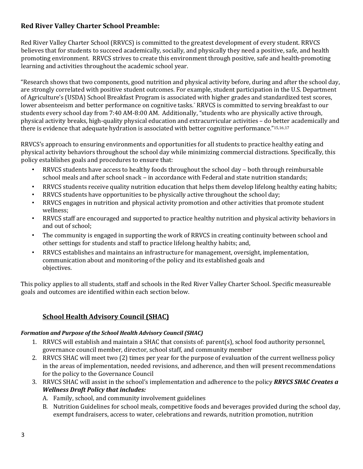# **Red River Valley Charter School Preamble:**

Red River Valley Charter School (RRVCS) is committed to the greatest development of every student. RRVCS believes that for students to succeed academically, socially, and physically they need a positive, safe, and health promoting environment. RRVCS strives to create this environment through positive, safe and health-promoting learning and activities throughout the academic school year.

"Research shows that two components, good nutrition and physical activity before, during and after the school day, are strongly correlated with positive student outcomes. For example, student participation in the U.S. Department of Agriculture's (USDA) School Breakfast Program is associated with higher grades and standardized test scores, lower absenteeism and better performance on cognitive tasks." RRVCS is committed to serving breakfast to our students every school day from 7:40 AM-8:00 AM. Additionally, "students who are physically active through, physical activity breaks, high-quality physical education and extracurricular activities – do better academically and there is evidence that adequate hydration is associated with better cognitive performance." $15,16,17$ 

RRVCS's approach to ensuring environments and opportunities for all students to practice healthy eating and physical activity behaviors throughout the school day while minimizing commercial distractions. Specifically, this policy establishes goals and procedures to ensure that:

- RRVCS students have access to healthy foods throughout the school day  $-$  both through reimbursable school meals and after school snack - in accordance with Federal and state nutrition standards;
- RRVCS students receive quality nutrition education that helps them develop lifelong healthy eating habits;
- RRVCS students have opportunities to be physically active throughout the school day;
- RRVCS engages in nutrition and physical activity promotion and other activities that promote student wellness;
- RRVCS staff are encouraged and supported to practice healthy nutrition and physical activity behaviors in and out of school:
- The community is engaged in supporting the work of RRVCS in creating continuity between school and other settings for students and staff to practice lifelong healthy habits; and,
- RRVCS establishes and maintains an infrastructure for management, oversight, implementation, communication about and monitoring of the policy and its established goals and objectives.

This policy applies to all students, staff and schools in the Red River Valley Charter School. Specific measureable goals and outcomes are identified within each section below.

# **School Health Advisory Council (SHAC)**

#### **Formation and Purpose of the School Health Advisory Council (SHAC)**

- 1. RRVCS will establish and maintain a SHAC that consists of: parent(s), school food authority personnel, governance council member, director, school staff, and community member
- 2. RRVCS SHAC will meet two (2) times per year for the purpose of evaluation of the current wellness policy in the areas of implementation, needed revisions, and adherence, and then will present recommendations for the policy to the Governance Council
- 3. RRVCS SHAC will assist in the school's implementation and adherence to the policy **RRVCS SHAC Creates a Wellness Draft Policy that includes:** 
	- A. Family, school, and community involvement guidelines
	- B. Nutrition Guidelines for school meals, competitive foods and beverages provided during the school day, exempt fundraisers, access to water, celebrations and rewards, nutrition promotion, nutrition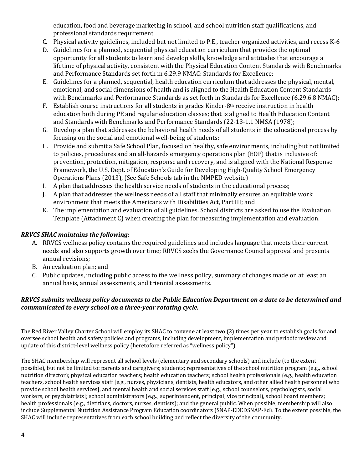education, food and beverage marketing in school, and school nutrition staff qualifications, and professional standards requirement

- C. Physical activity guidelines, included but not limited to P.E., teacher organized activities, and recess K-6
- D. Guidelines for a planned, sequential physical education curriculum that provides the optimal opportunity for all students to learn and develop skills, knowledge and attitudes that encourage a lifetime of physical activity, consistent with the Physical Education Content Standards with Benchmarks and Performance Standards set forth in 6.29.9 NMAC: Standards for Excellence;
- E. Guidelines for a planned, sequential, health education curriculum that addresses the physical, mental, emotional, and social dimensions of health and is aligned to the Health Education Content Standards with Benchmarks and Performance Standards as set forth in Standards for Excellence (6.29.6.8 NMAC);
- F. Establish course instructions for all students in grades Kinder-8<sup>th</sup> receive instruction in health education both during PE and regular education classes; that is aligned to Health Education Content and Standards with Benchmarks and Performance Standards (22-13-1.1 NMSA (1978);
- G. Develop a plan that addresses the behavioral health needs of all students in the educational process by focusing on the social and emotional well-being of students;
- H. Provide and submit a Safe School Plan, focused on healthy, safe environments, including but not limited to policies, procedures and an all-hazards emergency operations plan (EOP) that is inclusive of: prevention, protection, mitigation, response and recovery, and is aligned with the National Response Framework, the U.S. Dept. of Education's Guide for Developing High-Quality School Emergency Operations Plans (2013), (See Safe Schools tab in the NMPED website)
- I. A plan that addresses the health service needs of students in the educational process;
- I. A plan that addresses the wellness needs of all staff that minimally ensures an equitable work environment that meets the Americans with Disabilities Act, Part III; and
- K. The implementation and evaluation of all guidelines. School districts are asked to use the Evaluation Template (Attachment C) when creating the plan for measuring implementation and evaluation.

# *RRVCS SHAC maintains the following:*

- A. RRVCS wellness policy contains the required guidelines and includes language that meets their current needs and also supports growth over time; RRVCS seeks the Governance Council approval and presents annual revisions;
- B. An evaluation plan; and
- C. Public updates, including public access to the wellness policy, summary of changes made on at least an annual basis, annual assessments, and triennial assessments.

## *RRVCS* submits wellness policy documents to the Public Education Department on a date to be determined and *communicated to every school on a three-year rotating cycle.*

The Red River Valley Charter School will employ its SHAC to convene at least two (2) times per year to establish goals for and oversee school health and safety policies and programs, including development, implementation and periodic review and update of this district-level wellness policy (heretofore referred as "wellness policy").

The SHAC membership will represent all school levels (elementary and secondary schools) and include (to the extent possible), but not be limited to: parents and caregivers; students; representatives of the school nutrition program (e.g., school nutrition director); physical education teachers; health education teachers; school health professionals (e.g., health education teachers, school health services staff [e.g., nurses, physicians, dentists, health educators, and other allied health personnel who provide school health services], and mental health and social services staff [e.g., school counselors, psychologists, social workers, or psychiatrists]; school administrators (e.g.., superintendent, principal, vice principal), school board members; health professionals (e.g., dietitians, doctors, nurses, dentists); and the general public. When possible, membership will also include Supplemental Nutrition Assistance Program Education coordinators (SNAP-EDEDSNAP-Ed). To the extent possible, the SHAC will include representatives from each school building and reflect the diversity of the community.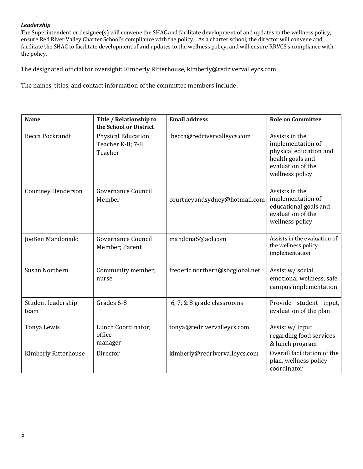#### *Leadership*

The Superintendent or designee(s) will convene the SHAC and facilitate development of and updates to the wellness policy, ensure Red River Valley Charter School's compliance with the policy. As a charter school, the director will convene and facilitate the SHAC to facilitate development of and updates to the wellness policy, and will ensure RRVCS's compliance with the policy.

The designated official for oversight: Kimberly Ritterhouse, kimberly@redrivervalleycs.com

The names, titles, and contact information of the committee members include:

| <b>Name</b>                | Title / Relationship to<br>the School or District        | <b>Email address</b>            | <b>Role on Committee</b>                                                                                                  |
|----------------------------|----------------------------------------------------------|---------------------------------|---------------------------------------------------------------------------------------------------------------------------|
| <b>Becca Pockrandt</b>     | <b>Physical Education</b><br>Teacher K-8; 7-8<br>Teacher | becca@redrivervalleycs.com      | Assists in the<br>implementation of<br>physical education and<br>health goals and<br>evaluation of the<br>wellness policy |
| <b>Courtney Henderson</b>  | Governance Council<br>Member                             | courtneyandsydney@hotmail.com   | Assists in the<br>implementation of<br>educational goals and<br>evaluation of the<br>wellness policy                      |
| JoeBen Mandonado           | Governance Council<br>Member; Parent                     | mandona5@aol.com                | Assists in the evaluation of<br>the wellness policy<br>implementation                                                     |
| <b>Susan Northern</b>      | Community member;<br>nurse                               | frederic.northern@sbcglobal.net | Assist w/ social<br>emotional wellness, safe<br>campus implementation                                                     |
| Student leadership<br>team | Grades 6-8                                               | 6, 7, & 8 grade classrooms      | Provide student input,<br>evaluation of the plan                                                                          |
| Tonya Lewis                | Lunch Coordinator;<br>office<br>manager                  | tonya@redrivervalleycs.com      | Assist w/ input<br>regarding food services<br>& lunch program                                                             |
| Kimberly Ritterhouse       | Director                                                 | kimberly@redrivervalleycs.com   | Overall facilitation of the<br>plan, wellness policy<br>coordinator                                                       |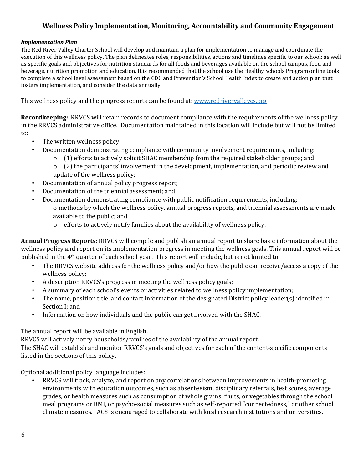# **Wellness Policy Implementation, Monitoring, Accountability and Community Engagement**

#### *Implementation Plan*

The Red River Valley Charter School will develop and maintain a plan for implementation to manage and coordinate the execution of this wellness policy. The plan delineates roles, responsibilities, actions and timelines specific to our school; as well as specific goals and objectives for nutrition standards for all foods and beverages available on the school campus, food and beverage, nutrition promotion and education. It is recommended that the school use the Healthy Schools Program online tools to complete a school level assessment based on the CDC and Prevention's School Health Index to create and action plan that fosters implementation, and consider the data annually.

This wellness policy and the progress reports can be found at: www.redrivervalleycs.org

**Recordkeeping:** RRVCS will retain records to document compliance with the requirements of the wellness policy in the RRVCS administrative office. Documentation maintained in this location will include but will not be limited to: 

- The written wellness policy;
- Documentation demonstrating compliance with community involvement requirements, including:
	- $\circ$  (1) efforts to actively solicit SHAC membership from the required stakeholder groups; and
	- $\circ$  (2) the participants' involvement in the development, implementation, and periodic review and update of the wellness policy;
- Documentation of annual policy progress report;
- Documentation of the triennial assessment; and
- Documentation demonstrating compliance with public notification requirements, including:  $\circ$  methods by which the wellness policy, annual progress reports, and triennial assessments are made available to the public; and
	- $\circ$  efforts to actively notify families about the availability of wellness policy.

Annual Progress Reports: RRVCS will compile and publish an annual report to share basic information about the wellness policy and report on its implementation progress in meeting the wellness goals. This annual report will be published in the 4<sup>th</sup> quarter of each school year. This report will include, but is not limited to:

- The RRVCS website address for the wellness policy and/or how the public can receive/access a copy of the wellness policy;
- A description RRVCS's progress in meeting the wellness policy goals;
- A summary of each school's events or activities related to wellness policy implementation;
- The name, position title, and contact information of the designated District policy leader(s) identified in Section I; and
- Information on how individuals and the public can get involved with the SHAC.

The annual report will be available in English.

RRVCS will actively notify households/families of the availability of the annual report.

The SHAC will establish and monitor RRVCS's goals and objectives for each of the content-specific components listed in the sections of this policy.

Optional additional policy language includes:

RRVCS will track, analyze, and report on any correlations between improvements in health-promoting environments with education outcomes, such as absenteeism, disciplinary referrals, test scores, average grades, or health measures such as consumption of whole grains, fruits, or vegetables through the school meal programs or BMI, or psycho-social measures such as self-reported "connectedness," or other school climate measures. ACS is encouraged to collaborate with local research institutions and universities.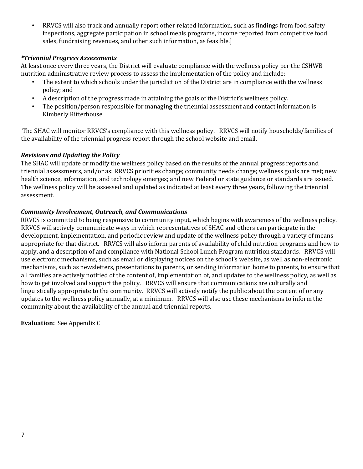RRVCS will also track and annually report other related information, such as findings from food safety inspections, aggregate participation in school meals programs, income reported from competitive food sales, fundraising revenues, and other such information, as feasible.]

#### *\*Triennial Progress Assessments*

At least once every three years, the District will evaluate compliance with the wellness policy per the CSHWB nutrition administrative review process to assess the implementation of the policy and include:

- The extent to which schools under the jurisdiction of the District are in compliance with the wellness policy; and
- A description of the progress made in attaining the goals of the District's wellness policy.
- The position/person responsible for managing the triennial assessment and contact information is Kimberly Ritterhouse

The SHAC will monitor RRVCS's compliance with this wellness policy. RRVCS will notify households/families of the availability of the triennial progress report through the school website and email.

## *Revisions and Updating the Policy*

The SHAC will update or modify the wellness policy based on the results of the annual progress reports and triennial assessments, and/or as: RRVCS priorities change; community needs change; wellness goals are met; new health science, information, and technology emerges; and new Federal or state guidance or standards are issued. The wellness policy will be assessed and updated as indicated at least every three years, following the triennial assessment. 

## *Community Involvement, Outreach, and Communications*

RRVCS is committed to being responsive to community input, which begins with awareness of the wellness policy. RRVCS will actively communicate ways in which representatives of SHAC and others can participate in the development, implementation, and periodic review and update of the wellness policy through a variety of means appropriate for that district. RRVCS will also inform parents of availability of child nutrition programs and how to apply, and a description of and compliance with National School Lunch Program nutrition standards. RRVCS will use electronic mechanisms, such as email or displaying notices on the school's website, as well as non-electronic mechanisms, such as newsletters, presentations to parents, or sending information home to parents, to ensure that all families are actively notified of the content of, implementation of, and updates to the wellness policy, as well as how to get involved and support the policy. RRVCS will ensure that communications are culturally and linguistically appropriate to the community. RRVCS will actively notify the public about the content of or any updates to the wellness policy annually, at a minimum. RRVCS will also use these mechanisms to inform the community about the availability of the annual and triennial reports.

**Evaluation:** See Appendix C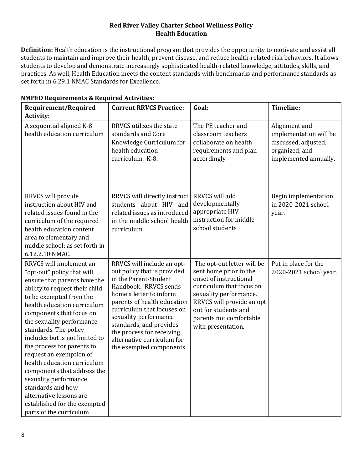## **Red River Valley Charter School Wellness Policy Health Education**

**Definition:** Health education is the instructional program that provides the opportunity to motivate and assist all students to maintain and improve their health, prevent disease, and reduce health-related risk behaviors. It allows students to develop and demonstrate increasingly sophisticated health-related knowledge, attitudes, skills, and practices. As well, Health Education meets the content standards with benchmarks and performance standards as set forth in 6.29.1 NMAC Standards for Excellence.

| <b>Requirement/Required</b><br>Activity:                                                                                                                                                                                                                                                                                                                                                                                                                                                                                                                         | <b>Current RRVCS Practice:</b>                                                                                                                                                                                                                                                                                                                | Goal:                                                                                                                                                                                                                                      | Timeline:                                                                                                  |
|------------------------------------------------------------------------------------------------------------------------------------------------------------------------------------------------------------------------------------------------------------------------------------------------------------------------------------------------------------------------------------------------------------------------------------------------------------------------------------------------------------------------------------------------------------------|-----------------------------------------------------------------------------------------------------------------------------------------------------------------------------------------------------------------------------------------------------------------------------------------------------------------------------------------------|--------------------------------------------------------------------------------------------------------------------------------------------------------------------------------------------------------------------------------------------|------------------------------------------------------------------------------------------------------------|
| A sequential aligned K-8<br>health education curriculum                                                                                                                                                                                                                                                                                                                                                                                                                                                                                                          | RRVCS utilizes the state<br>standards and Core<br>Knowledge Curriculum for<br>health education<br>curriculum. K-8.                                                                                                                                                                                                                            | The PE teacher and<br>classroom teachers<br>collaborate on health<br>requirements and plan<br>accordingly                                                                                                                                  | Alignment and<br>implementation will be<br>discussed, adjusted,<br>organized, and<br>implemented annually. |
| RRVCS will provide<br>instruction about HIV and<br>related issues found in the<br>curriculum of the required<br>health education content<br>area to elementary and<br>middle school; as set forth in<br>6.12.2.10 NMAC.                                                                                                                                                                                                                                                                                                                                          | RRVCS will directly instruct<br>students about HIV and<br>related issues as introduced<br>in the middle school health<br>curriculum                                                                                                                                                                                                           | RRVCS will add<br>developmentally<br>appropriate HIV<br>instruction for middle<br>school students                                                                                                                                          | Begin implementation<br>in 2020-2021 school<br>year.                                                       |
| RRVCS will implement an<br>"opt-out" policy that will<br>ensure that parents have the<br>ability to request their child<br>to be exempted from the<br>health education curriculum<br>components that focus on<br>the sexuality performance<br>standards. The policy<br>includes but is not limited to<br>the process for parents to<br>request an exemption of<br>health education curriculum<br>components that address the<br>sexuality performance<br>standards and how<br>alternative lessons are<br>established for the exempted<br>parts of the curriculum | RRVCS will include an opt-<br>out policy that is provided<br>in the Parent-Student<br>Handbook. RRVCS sends<br>home a letter to inform<br>parents of health education<br>curriculum that focuses on<br>sexuality performance<br>standards, and provides<br>the process for receiving<br>alternative curriculum for<br>the exempted components | The opt-out letter will be<br>sent home prior to the<br>onset of instructional<br>curriculum that focus on<br>sexuality performance.<br>RRVCS will provide an opt<br>out for students and<br>parents not comfortable<br>with presentation. | Put in place for the<br>2020-2021 school year.                                                             |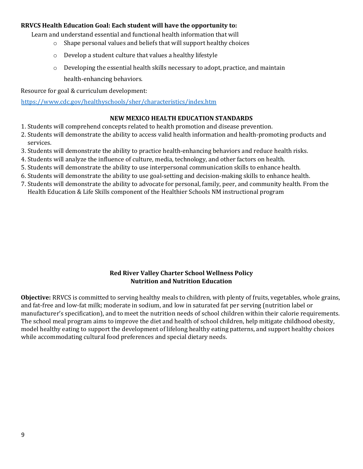#### **RRVCS Health Education Goal: Each student will have the opportunity to:**

Learn and understand essential and functional health information that will

- $\circ$  Shape personal values and beliefs that will support healthy choices
- $\circ$  Develop a student culture that values a healthy lifestyle
- $\circ$  Developing the essential health skills necessary to adopt, practice, and maintain

health-enhancing behaviors.

Resource for goal & curriculum development:

https://www.cdc.gov/healthyschools/sher/characteristics/index.htm

# **NEW MEXICO HEALTH EDUCATION STANDARDS**

- 1. Students will comprehend concepts related to health promotion and disease prevention.
- 2. Students will demonstrate the ability to access valid health information and health-promoting products and services.
- 3. Students will demonstrate the ability to practice health-enhancing behaviors and reduce health risks.
- 4. Students will analyze the influence of culture, media, technology, and other factors on health.
- 5. Students will demonstrate the ability to use interpersonal communication skills to enhance health.
- 6. Students will demonstrate the ability to use goal-setting and decision-making skills to enhance health.
- 7. Students will demonstrate the ability to advocate for personal, family, peer, and community health. From the Health Education & Life Skills component of the Healthier Schools NM instructional program

#### **Red River Valley Charter School Wellness Policy Nutrition and Nutrition Education**

**Objective:** RRVCS is committed to serving healthy meals to children, with plenty of fruits, vegetables, whole grains, and fat-free and low-fat milk; moderate in sodium, and low in saturated fat per serving (nutrition label or manufacturer's specification), and to meet the nutrition needs of school children within their calorie requirements. The school meal program aims to improve the diet and health of school children, help mitigate childhood obesity, model healthy eating to support the development of lifelong healthy eating patterns, and support healthy choices while accommodating cultural food preferences and special dietary needs.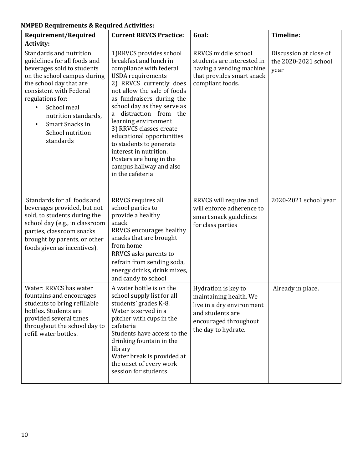| Requirement/Required<br><b>Activity:</b>                                                                                                                                                                                                                                                               | <b>Current RRVCS Practice:</b>                                                                                                                                                                                                                                                                                                                                                                                                                                              | Goal:                                                                                                                                          | <b>Timeline:</b>                                       |
|--------------------------------------------------------------------------------------------------------------------------------------------------------------------------------------------------------------------------------------------------------------------------------------------------------|-----------------------------------------------------------------------------------------------------------------------------------------------------------------------------------------------------------------------------------------------------------------------------------------------------------------------------------------------------------------------------------------------------------------------------------------------------------------------------|------------------------------------------------------------------------------------------------------------------------------------------------|--------------------------------------------------------|
| Standards and nutrition<br>guidelines for all foods and<br>beverages sold to students<br>on the school campus during<br>the school day that are<br>consistent with Federal<br>regulations for:<br>School meal<br>nutrition standards,<br>Smart Snacks in<br>$\bullet$<br>School nutrition<br>standards | 1) RRVCS provides school<br>breakfast and lunch in<br>compliance with federal<br><b>USDA</b> requirements<br>2) RRVCS currently does<br>not allow the sale of foods<br>as fundraisers during the<br>school day as they serve as<br>distraction from the<br>a<br>learning environment<br>3) RRVCS classes create<br>educational opportunities<br>to students to generate<br>interest in nutrition.<br>Posters are hung in the<br>campus hallway and also<br>in the cafeteria | RRVCS middle school<br>students are interested in<br>having a vending machine<br>that provides smart snack<br>compliant foods.                 | Discussion at close of<br>the 2020-2021 school<br>year |
| Standards for all foods and<br>beverages provided, but not<br>sold, to students during the<br>school day (e.g., in classroom<br>parties, classroom snacks<br>brought by parents, or other<br>foods given as incentives).                                                                               | RRVCS requires all<br>school parties to<br>provide a healthy<br>snack<br>RRVCS encourages healthy<br>snacks that are brought<br>from home<br>RRVCS asks parents to<br>refrain from sending soda,<br>energy drinks, drink mixes,<br>and candy to school                                                                                                                                                                                                                      | RRVCS will require and<br>will enforce adherence to<br>smart snack guidelines<br>for class parties                                             | 2020-2021 school year                                  |
| Water: RRVCS has water<br>fountains and encourages<br>students to bring refillable<br>bottles. Students are<br>provided several times<br>throughout the school day to<br>refill water bottles.                                                                                                         | A water bottle is on the<br>school supply list for all<br>students' grades K-8.<br>Water is served in a<br>pitcher with cups in the<br>cafeteria<br>Students have access to the<br>drinking fountain in the<br>library<br>Water break is provided at<br>the onset of every work<br>session for students                                                                                                                                                                     | Hydration is key to<br>maintaining health. We<br>live in a dry environment<br>and students are<br>encouraged throughout<br>the day to hydrate. | Already in place.                                      |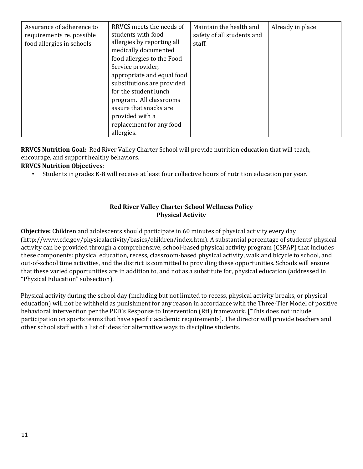| Assurance of adherence to<br>requirements re. possible<br>food allergies in schools | RRVCS meets the needs of<br>students with food<br>allergies by reporting all<br>medically documented<br>food allergies to the Food<br>Service provider,<br>appropriate and equal food<br>substitutions are provided<br>for the student lunch<br>program. All classrooms<br>assure that snacks are<br>provided with a | Maintain the health and<br>safety of all students and<br>staff. | Already in place |
|-------------------------------------------------------------------------------------|----------------------------------------------------------------------------------------------------------------------------------------------------------------------------------------------------------------------------------------------------------------------------------------------------------------------|-----------------------------------------------------------------|------------------|
|                                                                                     | replacement for any food<br>allergies.                                                                                                                                                                                                                                                                               |                                                                 |                  |

RRVCS Nutrition Goal: Red River Valley Charter School will provide nutrition education that will teach, encourage, and support healthy behaviors.

## **RRVCS Nutrition Objectives**:

• Students in grades K-8 will receive at least four collective hours of nutrition education per year.

# **Red River Valley Charter School Wellness Policy Physical Activity**

**Objective:** Children and adolescents should participate in 60 minutes of physical activity every day (http://www.cdc.gov/physicalactivity/basics/children/index.htm). A substantial percentage of students' physical activity can be provided through a comprehensive, school-based physical activity program (CSPAP) that includes these components: physical education, recess, classroom-based physical activity, walk and bicycle to school, and out-of-school time activities, and the district is committed to providing these opportunities. Schools will ensure that these varied opportunities are in addition to, and not as a substitute for, physical education (addressed in "Physical Education" subsection).

Physical activity during the school day (including but not limited to recess, physical activity breaks, or physical education) will not be withheld as punishment for any reason in accordance with the Three-Tier Model of positive behavioral intervention per the PED's Response to Intervention (RtI) framework. ["This does not include participation on sports teams that have specific academic requirements]. The director will provide teachers and other school staff with a list of ideas for alternative ways to discipline students.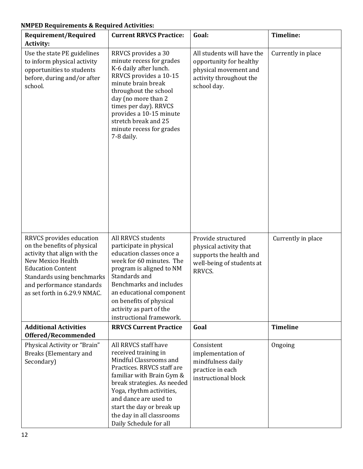| Requirement/Required<br>Activity:                                                                                                                                                                                                   | <b>Current RRVCS Practice:</b>                                                                                                                                                                                                                                                                            | Goal:                                                                                                                    | <b>Timeline:</b>   |
|-------------------------------------------------------------------------------------------------------------------------------------------------------------------------------------------------------------------------------------|-----------------------------------------------------------------------------------------------------------------------------------------------------------------------------------------------------------------------------------------------------------------------------------------------------------|--------------------------------------------------------------------------------------------------------------------------|--------------------|
| Use the state PE guidelines<br>to inform physical activity<br>opportunities to students<br>before, during and/or after<br>school.                                                                                                   | RRVCS provides a 30<br>minute recess for grades<br>K-6 daily after lunch.<br>RRVCS provides a 10-15<br>minute brain break<br>throughout the school<br>day (no more than 2<br>times per day). RRVCS<br>provides a 10-15 minute<br>stretch break and 25<br>minute recess for grades<br>7-8 daily.           | All students will have the<br>opportunity for healthy<br>physical movement and<br>activity throughout the<br>school day. | Currently in place |
| RRVCS provides education<br>on the benefits of physical<br>activity that align with the<br>New Mexico Health<br><b>Education Content</b><br>Standards using benchmarks<br>and performance standards<br>as set forth in 6.29.9 NMAC. | All RRVCS students<br>participate in physical<br>education classes once a<br>week for 60 minutes. The<br>program is aligned to NM<br>Standards and<br>Benchmarks and includes<br>an educational component<br>on benefits of physical<br>activity as part of the<br>instructional framework.               | Provide structured<br>physical activity that<br>supports the health and<br>well-being of students at<br>RRVCS.           | Currently in place |
| <b>Additional Activities</b><br>Offered/Recommended                                                                                                                                                                                 | <b>RRVCS Current Practice</b>                                                                                                                                                                                                                                                                             | Goal                                                                                                                     | <b>Timeline</b>    |
| Physical Activity or "Brain"<br>Breaks (Elementary and<br>Secondary)                                                                                                                                                                | All RRVCS staff have<br>received training in<br>Mindful Classrooms and<br>Practices. RRVCS staff are<br>familiar with Brain Gym &<br>break strategies. As needed<br>Yoga, rhythm activities,<br>and dance are used to<br>start the day or break up<br>the day in all classrooms<br>Daily Schedule for all | Consistent<br>implementation of<br>mindfulness daily<br>practice in each<br>instructional block                          | Ongoing            |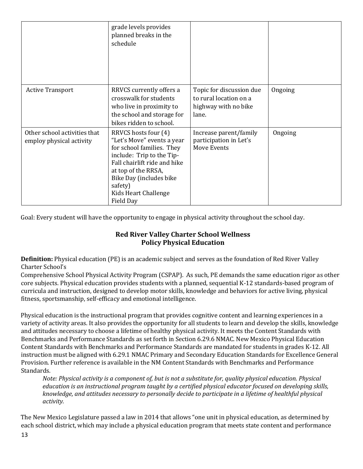|                                                          | grade levels provides<br>planned breaks in the<br>schedule                                                                                                                                                                                     |                                                                                     |         |
|----------------------------------------------------------|------------------------------------------------------------------------------------------------------------------------------------------------------------------------------------------------------------------------------------------------|-------------------------------------------------------------------------------------|---------|
| <b>Active Transport</b>                                  | RRVCS currently offers a<br>crosswalk for students<br>who live in proximity to<br>the school and storage for<br>bikes ridden to school.                                                                                                        | Topic for discussion due<br>to rural location on a<br>highway with no bike<br>lane. | Ongoing |
| Other school activities that<br>employ physical activity | RRVCS hosts four (4)<br>"Let's Move" events a year<br>for school families. They<br>include: Trip to the Tip-<br>Fall chairlift ride and hike<br>at top of the RRSA,<br>Bike Day (includes bike<br>safety)<br>Kids Heart Challenge<br>Field Day | Increase parent/family<br>participation in Let's<br>Move Events                     | Ongoing |

Goal: Every student will have the opportunity to engage in physical activity throughout the school day.

# **Red River Valley Charter School Wellness Policy Physical Education**

**Definition:** Physical education (PE) is an academic subject and serves as the foundation of Red River Valley Charter School's

Comprehensive School Physical Activity Program (CSPAP). As such, PE demands the same education rigor as other core subjects. Physical education provides students with a planned, sequential K-12 standards-based program of curricula and instruction, designed to develop motor skills, knowledge and behaviors for active living, physical fitness, sportsmanship, self-efficacy and emotional intelligence.

Physical education is the instructional program that provides cognitive content and learning experiences in a variety of activity areas. It also provides the opportunity for all students to learn and develop the skills, knowledge and attitudes necessary to choose a lifetime of healthy physical activity. It meets the Content Standards with Benchmarks and Performance Standards as set forth in Section 6.29.6 NMAC. New Mexico Physical Education Content Standards with Benchmarks and Performance Standards are mandated for students in grades K-12. All instruction must be aligned with 6.29.1 NMAC Primary and Secondary Education Standards for Excellence General Provision. Further reference is available in the NM Content Standards with Benchmarks and Performance Standards. 

*Note: Physical activity is a component of, but is not a substitute for, quality physical education. Physical education is an instructional program taught by a certified physical educator focused on developing skills, knowledge, and attitudes necessary to personally decide to participate in a lifetime of healthful physical* activity.

The New Mexico Legislature passed a law in 2014 that allows "one unit in physical education, as determined by each school district, which may include a physical education program that meets state content and performance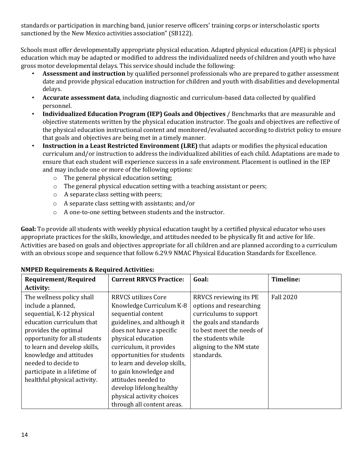standards or participation in marching band, junior reserve officers' training corps or interscholastic sports sanctioned by the New Mexico activities association" (SB122).

Schools must offer developmentally appropriate physical education. Adapted physical education (APE) is physical education which may be adapted or modified to address the individualized needs of children and youth who have gross motor developmental delays. This service should include the following:

- **Assessment and instruction** by qualified personnel professionals who are prepared to gather assessment date and provide physical education instruction for children and youth with disabilities and developmental delays.
- Accurate assessment data, including diagnostic and curriculum-based data collected by qualified personnel.
- **Individualized Education Program (IEP) Goals and Objectives** / Benchmarks that are measurable and objective statements written by the physical education instructor. The goals and objectives are reflective of the physical education instructional content and monitored/evaluated according to district policy to ensure that goals and objectives are being met in a timely manner.
- **Instruction in a Least Restricted Environment (LRE)** that adapts or modifies the physical education curriculum and/or instruction to address the individualized abilities of each child. Adaptations are made to ensure that each student will experience success in a safe environment. Placement is outlined in the IEP and may include one or more of the following options:
	- $\circ$  The general physical education setting;
	- $\circ$  The general physical education setting with a teaching assistant or peers;
	- o A separate class setting with peers;
	- $\circ$  A separate class setting with assistants; and/or
	- $\circ$  A one-to-one setting between students and the instructor.

**Goal:** To provide all students with weekly physical education taught by a certified physical educator who uses appropriate practices for the skills, knowledge, and attitudes needed to be physically fit and active for life. Activities are based on goals and objectives appropriate for all children and are planned according to a curriculum with an obvious scope and sequence that follow 6.29.9 NMAC Physical Education Standards for Excellence.

| <b>Requirement/Required</b>  | <b>Current RRVCS Practice:</b> | Goal:                     | Timeline:        |
|------------------------------|--------------------------------|---------------------------|------------------|
| <b>Activity:</b>             |                                |                           |                  |
| The wellness policy shall    | <b>RRVCS</b> utilizes Core     | RRVCS reviewing its PE    | <b>Fall 2020</b> |
| include a planned,           | Knowledge Curriculum K-8       | options and researching   |                  |
| sequential, K-12 physical    | sequential content             | curriculums to support    |                  |
| education curriculum that    | guidelines, and although it    | the goals and standards   |                  |
| provides the optimal         | does not have a specific       | to best meet the needs of |                  |
| opportunity for all students | physical education             | the students while        |                  |
| to learn and develop skills, | curriculum, it provides        | aligning to the NM state  |                  |
| knowledge and attitudes      | opportunities for students     | standards.                |                  |
| needed to decide to          | to learn and develop skills,   |                           |                  |
| participate in a lifetime of | to gain knowledge and          |                           |                  |
| healthful physical activity. | attitudes needed to            |                           |                  |
|                              | develop lifelong healthy       |                           |                  |
|                              | physical activity choices      |                           |                  |
|                              | through all content areas.     |                           |                  |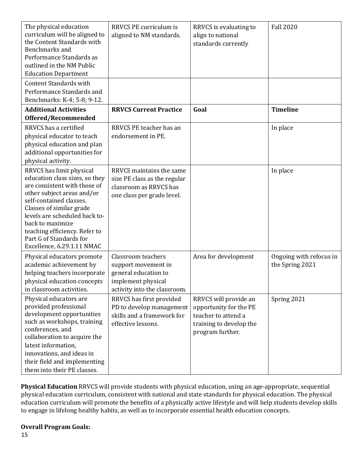| The physical education<br>curriculum will be aligned to<br>the Content Standards with<br>Benchmarks and<br>Performance Standards as<br>outlined in the NM Public<br><b>Education Department</b>                                                                                                                                | RRVCS PE curriculum is<br>aligned to NM standards.                                                                      | RRVCS is evaluating to<br>align to national<br>standards currently                                                    | <b>Fall 2020</b>                           |
|--------------------------------------------------------------------------------------------------------------------------------------------------------------------------------------------------------------------------------------------------------------------------------------------------------------------------------|-------------------------------------------------------------------------------------------------------------------------|-----------------------------------------------------------------------------------------------------------------------|--------------------------------------------|
| <b>Content Standards with</b><br>Performance Standards and<br>Benchmarks: K-4; 5-8; 9-12.                                                                                                                                                                                                                                      |                                                                                                                         |                                                                                                                       |                                            |
| <b>Additional Activities</b><br>Offered/Recommended                                                                                                                                                                                                                                                                            | <b>RRVCS Current Practice</b>                                                                                           | Goal                                                                                                                  | <b>Timeline</b>                            |
| RRVCS has a certified<br>physical educator to teach<br>physical education and plan<br>additional opportunities for<br>physical activity.                                                                                                                                                                                       | RRVCS PE teacher has an<br>endorsement in PE.                                                                           |                                                                                                                       | In place                                   |
| RRVCS has limit physical<br>education class sizes, so they<br>are consistent with those of<br>other subject areas and/or<br>self-contained classes.<br>Classes of similar grade<br>levels are scheduled back to-<br>back to maximize<br>teaching efficiency. Refer to<br>Part G of Standards for<br>Excellence, 6.29.1.11 NMAC | RRVCS maintains the same<br>size PE class as the regular<br>classroom as RRVCS has<br>one class per grade level.        |                                                                                                                       | In place                                   |
| Physical educators promote<br>academic achievement by<br>helping teachers incorporate<br>physical education concepts<br>in classroom activities.                                                                                                                                                                               | Classroom teachers<br>support movement in<br>general education to<br>implement physical<br>activity into the classroom. | Area for development                                                                                                  | Ongoing with refocus in<br>the Spring 2021 |
| Physical educators are<br>provided professional<br>development opportunities<br>such as workshops, training<br>conferences, and<br>collaboration to acquire the<br>latest information,<br>innovations, and ideas in<br>their field and implementing<br>them into their PE classes.                                             | RRVCS has first provided<br>PD to develop management<br>skills and a framework for<br>effective lessons.                | RRVCS will provide an<br>opportunity for the PE<br>teacher to attend a<br>training to develop the<br>program further. | Spring 2021                                |

Physical Education RRVCS will provide students with physical education, using an age-appropriate, sequential physical education curriculum, consistent with national and state standards for physical education. The physical education curriculum will promote the benefits of a physically active lifestyle and will help students develop skills to engage in lifelong healthy habits, as well as to incorporate essential health education concepts.

# **Overall Program Goals:**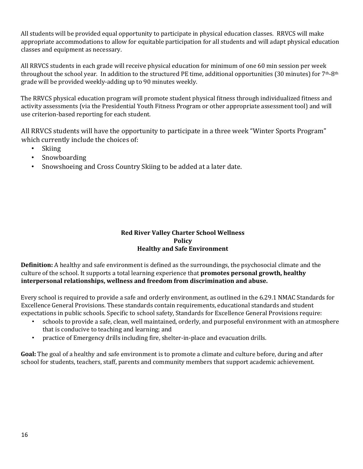All students will be provided equal opportunity to participate in physical education classes. RRVCS will make appropriate accommodations to allow for equitable participation for all students and will adapt physical education classes and equipment as necessary.

All RRVCS students in each grade will receive physical education for minimum of one 60 min session per week throughout the school year. In addition to the structured PE time, additional opportunities (30 minutes) for  $7<sup>th</sup>$ -8<sup>th</sup> grade will be provided weekly-adding up to 90 minutes weekly.

The RRVCS physical education program will promote student physical fitness through individualized fitness and activity assessments (via the Presidential Youth Fitness Program or other appropriate assessment tool) and will use criterion-based reporting for each student.

All RRVCS students will have the opportunity to participate in a three week "Winter Sports Program" which currently include the choices of:

- Skiing
- Snowboarding
- Snowshoeing and Cross Country Skiing to be added at a later date.

# **Red River Valley Charter School Wellness Policy Healthy and Safe Environment**

**Definition:** A healthy and safe environment is defined as the surroundings, the psychosocial climate and the culture of the school. It supports a total learning experience that **promotes personal growth, healthy** interpersonal relationships, wellness and freedom from discrimination and abuse.

Every school is required to provide a safe and orderly environment, as outlined in the 6.29.1 NMAC Standards for Excellence General Provisions. These standards contain requirements, educational standards and student expectations in public schools. Specific to school safety, Standards for Excellence General Provisions require:

- schools to provide a safe, clean, well maintained, orderly, and purposeful environment with an atmosphere that is conducive to teaching and learning; and
- practice of Emergency drills including fire, shelter-in-place and evacuation drills.

**Goal:** The goal of a healthy and safe environment is to promote a climate and culture before, during and after school for students, teachers, staff, parents and community members that support academic achievement.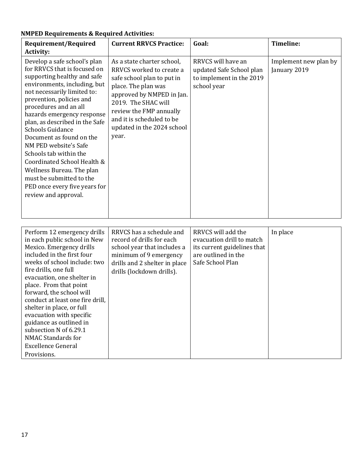| Requirement/Required<br><b>Activity:</b>                                                                                                                                                                                                                                                                                                                                                                                                                                                                                                   | <b>Current RRVCS Practice:</b>                                                                                                                                                                                                                                 | Goal:                                                                                     | Timeline:                             |
|--------------------------------------------------------------------------------------------------------------------------------------------------------------------------------------------------------------------------------------------------------------------------------------------------------------------------------------------------------------------------------------------------------------------------------------------------------------------------------------------------------------------------------------------|----------------------------------------------------------------------------------------------------------------------------------------------------------------------------------------------------------------------------------------------------------------|-------------------------------------------------------------------------------------------|---------------------------------------|
| Develop a safe school's plan<br>for RRVCS that is focused on<br>supporting healthy and safe<br>environments, including, but<br>not necessarily limited to:<br>prevention, policies and<br>procedures and an all<br>hazards emergency response<br>plan, as described in the Safe<br><b>Schools Guidance</b><br>Document as found on the<br>NM PED website's Safe<br>Schools tab within the<br>Coordinated School Health &<br>Wellness Bureau. The plan<br>must be submitted to the<br>PED once every five years for<br>review and approval. | As a state charter school,<br>RRVCS worked to create a<br>safe school plan to put in<br>place. The plan was<br>approved by NMPED in Jan.<br>2019. The SHAC will<br>review the FMP annually<br>and it is scheduled to be<br>updated in the 2024 school<br>year. | RRVCS will have an<br>updated Safe School plan<br>to implement in the 2019<br>school year | Implement new plan by<br>January 2019 |

| Perform 12 emergency drills<br>in each public school in New<br>Mexico. Emergency drills<br>included in the first four<br>weeks of school include: two<br>fire drills, one full<br>evacuation, one shelter in<br>place. From that point<br>forward, the school will<br>conduct at least one fire drill.<br>shelter in place, or full<br>evacuation with specific<br>guidance as outlined in<br>subsection N of 6.29.1<br><b>NMAC Standards for</b> | RRVCS has a schedule and<br>record of drills for each<br>school year that includes a<br>minimum of 9 emergency<br>drills and 2 shelter in place<br>drills (lockdown drills). | RRVCS will add the<br>evacuation drill to match<br>its current guidelines that<br>are outlined in the<br>Safe School Plan | In place |
|---------------------------------------------------------------------------------------------------------------------------------------------------------------------------------------------------------------------------------------------------------------------------------------------------------------------------------------------------------------------------------------------------------------------------------------------------|------------------------------------------------------------------------------------------------------------------------------------------------------------------------------|---------------------------------------------------------------------------------------------------------------------------|----------|
| <b>Excellence General</b>                                                                                                                                                                                                                                                                                                                                                                                                                         |                                                                                                                                                                              |                                                                                                                           |          |
| Provisions.                                                                                                                                                                                                                                                                                                                                                                                                                                       |                                                                                                                                                                              |                                                                                                                           |          |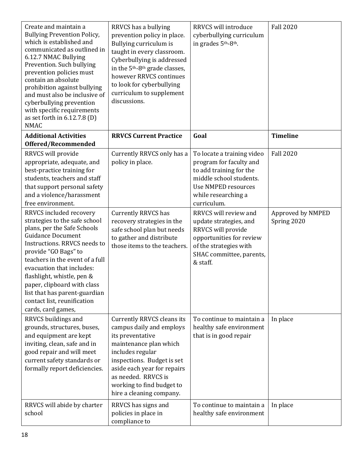| Create and maintain a<br><b>Bullying Prevention Policy,</b><br>which is established and<br>communicated as outlined in<br>6.12.7 NMAC Bullying<br>Prevention. Such bullying<br>prevention policies must<br>contain an absolute<br>prohibition against bullying<br>and must also be inclusive of<br>cyberbullying prevention<br>with specific requirements<br>as set forth in 6.12.7.8 (D)<br><b>NMAC</b> | RRVCS has a bullying<br>prevention policy in place.<br>Bullying curriculum is<br>taught in every classroom.<br>Cyberbullying is addressed<br>in the 5 <sup>th</sup> -8 <sup>th</sup> grade classes,<br>however RRVCS continues<br>to look for cyberbullying<br>curriculum to supplement<br>discussions. | RRVCS will introduce<br>cyberbullying curriculum<br>in grades 5th-8th.                                                                                                          | <b>Fall 2020</b>                 |
|----------------------------------------------------------------------------------------------------------------------------------------------------------------------------------------------------------------------------------------------------------------------------------------------------------------------------------------------------------------------------------------------------------|---------------------------------------------------------------------------------------------------------------------------------------------------------------------------------------------------------------------------------------------------------------------------------------------------------|---------------------------------------------------------------------------------------------------------------------------------------------------------------------------------|----------------------------------|
| <b>Additional Activities</b><br>Offered/Recommended                                                                                                                                                                                                                                                                                                                                                      | <b>RRVCS Current Practice</b>                                                                                                                                                                                                                                                                           | Goal                                                                                                                                                                            | <b>Timeline</b>                  |
| RRVCS will provide<br>appropriate, adequate, and<br>best-practice training for<br>students, teachers and staff<br>that support personal safety<br>and a violence/harassment<br>free environment.                                                                                                                                                                                                         | Currently RRVCS only has a<br>policy in place.                                                                                                                                                                                                                                                          | To locate a training video<br>program for faculty and<br>to add training for the<br>middle school students.<br><b>Use NMPED resources</b><br>while researching a<br>curriculum. | <b>Fall 2020</b>                 |
| RRVCS included recovery<br>strategies to the safe school<br>plans, per the Safe Schools<br><b>Guidance Document</b><br>Instructions. RRVCS needs to<br>provide "GO Bags" to<br>teachers in the event of a full<br>evacuation that includes:<br>flashlight, whistle, pen &<br>paper, clipboard with class<br>list that has parent-guardian<br>contact list, reunification<br>cards, card games,           | <b>Currently RRVCS has</b><br>recovery strategies in the<br>safe school plan but needs<br>to gather and distribute<br>those items to the teachers.                                                                                                                                                      | RRVCS will review and<br>update strategies, and<br>RRVCS will provide<br>opportunities for review<br>of the strategies with<br>SHAC committee, parents,<br>& staff.             | Approved by NMPED<br>Spring 2020 |
| RRVCS buildings and<br>grounds, structures, buses,<br>and equipment are kept<br>inviting, clean, safe and in<br>good repair and will meet<br>current safety standards or<br>formally report deficiencies.                                                                                                                                                                                                | <b>Currently RRVCS cleans its</b><br>campus daily and employs<br>its preventative<br>maintenance plan which<br>includes regular<br>inspections. Budget is set<br>aside each year for repairs<br>as needed. RRVCS is<br>working to find budget to<br>hire a cleaning company.                            | To continue to maintain a<br>healthy safe environment<br>that is in good repair                                                                                                 | In place                         |
| RRVCS will abide by charter<br>school                                                                                                                                                                                                                                                                                                                                                                    | RRVCS has signs and<br>policies in place in<br>compliance to                                                                                                                                                                                                                                            | To continue to maintain a<br>healthy safe environment                                                                                                                           | In place                         |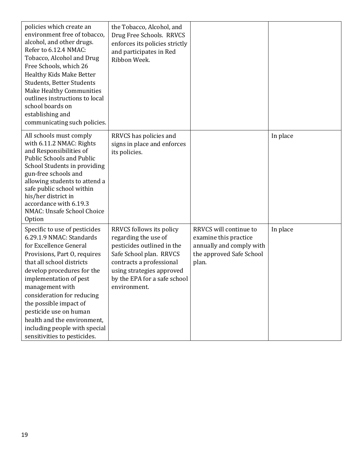| policies which create an<br>environment free of tobacco,<br>alcohol, and other drugs.<br>Refer to 6.12.4 NMAC:<br>Tobacco, Alcohol and Drug<br>Free Schools, which 26<br><b>Healthy Kids Make Better</b><br><b>Students, Better Students</b><br><b>Make Healthy Communities</b><br>outlines instructions to local<br>school boards on<br>establishing and<br>communicating such policies.                     | the Tobacco, Alcohol, and<br>Drug Free Schools. RRVCS<br>enforces its policies strictly<br>and participates in Red<br>Ribbon Week.                                                                                 |                                                                                                                  |          |
|---------------------------------------------------------------------------------------------------------------------------------------------------------------------------------------------------------------------------------------------------------------------------------------------------------------------------------------------------------------------------------------------------------------|--------------------------------------------------------------------------------------------------------------------------------------------------------------------------------------------------------------------|------------------------------------------------------------------------------------------------------------------|----------|
| All schools must comply<br>with 6.11.2 NMAC: Rights<br>and Responsibilities of<br>Public Schools and Public<br>School Students in providing<br>gun-free schools and<br>allowing students to attend a<br>safe public school within<br>his/her district in<br>accordance with 6.19.3<br>NMAC: Unsafe School Choice<br>Option                                                                                    | RRVCS has policies and<br>signs in place and enforces<br>its policies.                                                                                                                                             |                                                                                                                  | In place |
| Specific to use of pesticides<br>6.29.1.9 NMAC: Standards<br>for Excellence General<br>Provisions, Part O, requires<br>that all school districts<br>develop procedures for the<br>implementation of pest<br>management with<br>consideration for reducing<br>the possible impact of<br>pesticide use on human<br>health and the environment,<br>including people with special<br>sensitivities to pesticides. | RRVCS follows its policy<br>regarding the use of<br>pesticides outlined in the<br>Safe School plan. RRVCS<br>contracts a professional<br>using strategies approved<br>by the EPA for a safe school<br>environment. | RRVCS will continue to<br>examine this practice<br>annually and comply with<br>the approved Safe School<br>plan. | In place |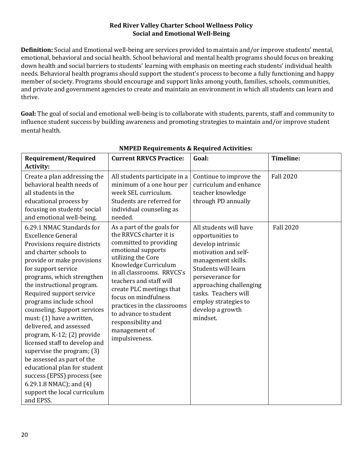## **Red River Valley Charter School Wellness Policy Social and Emotional Well-Being**

**Definition:** Social and Emotional well-being are services provided to maintain and/or improve students' mental, emotional, behavioral and social health. School behavioral and mental health programs should focus on breaking down health and social barriers to students' learning with emphasis on meeting each students' individual health needs. Behavioral health programs should support the student's process to become a fully functioning and happy member of society. Programs should encourage and support links among youth, families, schools, communities, and private and government agencies to create and maintain an environment in which all students can learn and thrive. 

Goal: The goal of social and emotional well-being is to collaborate with students, parents, staff and community to influence student success by building awareness and promoting strategies to maintain and/or improve student mental health.

| <b>Requirement/Required</b><br><b>Activity:</b>                                                                                                                                                                                                                                                                                                                                                                                                                                                                                                                                                                                                    | <b>Current RRVCS Practice:</b>                                                                                                                                                                                                                                                                                                                                                    | Goal:                                                                                                                                                                                                                                                               | <b>Timeline:</b> |
|----------------------------------------------------------------------------------------------------------------------------------------------------------------------------------------------------------------------------------------------------------------------------------------------------------------------------------------------------------------------------------------------------------------------------------------------------------------------------------------------------------------------------------------------------------------------------------------------------------------------------------------------------|-----------------------------------------------------------------------------------------------------------------------------------------------------------------------------------------------------------------------------------------------------------------------------------------------------------------------------------------------------------------------------------|---------------------------------------------------------------------------------------------------------------------------------------------------------------------------------------------------------------------------------------------------------------------|------------------|
| Create a plan addressing the<br>behavioral health needs of<br>all students in the<br>educational process by<br>focusing on students' social<br>and emotional well-being.                                                                                                                                                                                                                                                                                                                                                                                                                                                                           | All students participate in a<br>minimum of a one hour per<br>week SEL curriculum.<br>Students are referred for<br>individual counseling as<br>needed.                                                                                                                                                                                                                            | Continue to improve the<br>curriculum and enhance<br>teacher knowledge<br>through PD annually                                                                                                                                                                       | <b>Fall 2020</b> |
| 6.29.1 NMAC Standards for<br><b>Excellence General</b><br>Provisions require districts<br>and charter schools to<br>provide or make provisions<br>for support service<br>programs, which strengthen<br>the instructional program.<br>Required support service<br>programs include school<br>counseling. Support services<br>must: (1) have a written,<br>delivered, and assessed<br>program, K-12; (2) provide<br>licensed staff to develop and<br>supervise the program; (3)<br>be assessed as part of the<br>educational plan for student<br>success (EPSS) process (see<br>6.29.1.8 NMAC); and (4)<br>support the local curriculum<br>and EPSS. | As a part of the goals for<br>the RRVCS charter it is<br>committed to providing<br>emotional supports<br>utilizing the Core<br>Knowledge Curriculum<br>in all classrooms. RRVCS's<br>teachers and staff will<br>create PLC meetings that<br>focus on mindfulness<br>practices in the classrooms<br>to advance to student<br>responsibility and<br>management of<br>impulsiveness. | All students will have<br>opportunities to<br>develop intrinsic<br>motivation and self-<br>management skills.<br>Students will learn<br>perseverance for<br>approaching challenging<br>tasks. Teachers will<br>employ strategies to<br>develop a growth<br>mindset. | <b>Fall 2020</b> |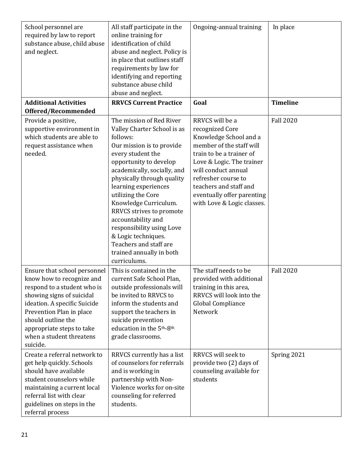| School personnel are<br>required by law to report<br>substance abuse, child abuse<br>and neglect.                                                                                                                                                                            | All staff participate in the<br>online training for<br>identification of child<br>abuse and neglect. Policy is<br>in place that outlines staff<br>requirements by law for<br>identifying and reporting<br>substance abuse child<br>abuse and neglect.                                                                                                                                                                                                           | Ongoing-annual training                                                                                                                                                                                                                                                               | In place         |
|------------------------------------------------------------------------------------------------------------------------------------------------------------------------------------------------------------------------------------------------------------------------------|-----------------------------------------------------------------------------------------------------------------------------------------------------------------------------------------------------------------------------------------------------------------------------------------------------------------------------------------------------------------------------------------------------------------------------------------------------------------|---------------------------------------------------------------------------------------------------------------------------------------------------------------------------------------------------------------------------------------------------------------------------------------|------------------|
| <b>Additional Activities</b><br>Offered/Recommended                                                                                                                                                                                                                          | <b>RRVCS Current Practice</b>                                                                                                                                                                                                                                                                                                                                                                                                                                   | Goal                                                                                                                                                                                                                                                                                  | <b>Timeline</b>  |
| Provide a positive,<br>supportive environment in<br>which students are able to<br>request assistance when<br>needed.                                                                                                                                                         | The mission of Red River<br>Valley Charter School is as<br>follows:<br>Our mission is to provide<br>every student the<br>opportunity to develop<br>academically, socially, and<br>physically through quality<br>learning experiences<br>utilizing the Core<br>Knowledge Curriculum.<br>RRVCS strives to promote<br>accountability and<br>responsibility using Love<br>& Logic techniques.<br>Teachers and staff are<br>trained annually in both<br>curriculums. | RRVCS will be a<br>recognized Core<br>Knowledge School and a<br>member of the staff will<br>train to be a trainer of<br>Love & Logic. The trainer<br>will conduct annual<br>refresher course to<br>teachers and staff and<br>eventually offer parenting<br>with Love & Logic classes. | <b>Fall 2020</b> |
| Ensure that school personnel<br>know how to recognize and<br>respond to a student who is<br>showing signs of suicidal<br>ideation. A specific Suicide<br>Prevention Plan in place<br>should outline the<br>appropriate steps to take<br>when a student threatens<br>suicide. | This is contained in the<br>current Safe School Plan,<br>outside professionals will<br>be invited to RRVCS to<br>inform the students and<br>support the teachers in<br>suicide prevention<br>education in the 5th-8th<br>grade classrooms.                                                                                                                                                                                                                      | The staff needs to be<br>provided with additional<br>training in this area,<br>RRVCS will look into the<br>Global Compliance<br>Network                                                                                                                                               | <b>Fall 2020</b> |
| Create a referral network to<br>get help quickly. Schools<br>should have available<br>student counselors while<br>maintaining a current local<br>referral list with clear<br>guidelines on steps in the<br>referral process                                                  | RRVCS currently has a list<br>of counselors for referrals<br>and is working in<br>partnership with Non-<br>Violence works for on-site<br>counseling for referred<br>students.                                                                                                                                                                                                                                                                                   | RRVCS will seek to<br>provide two (2) days of<br>counseling available for<br>students                                                                                                                                                                                                 | Spring 2021      |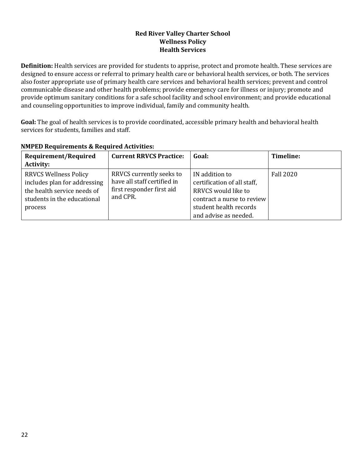#### **Red River Valley Charter School Wellness Policy Health Services**

**Definition:** Health services are provided for students to apprise, protect and promote health. These services are designed to ensure access or referral to primary health care or behavioral health services, or both. The services also foster appropriate use of primary health care services and behavioral health services; prevent and control communicable disease and other health problems; provide emergency care for illness or injury; promote and provide optimum sanitary conditions for a safe school facility and school environment; and provide educational and counseling opportunities to improve individual, family and community health.

Goal: The goal of health services is to provide coordinated, accessible primary health and behavioral health services for students, families and staff.

| Requirement/Required<br><b>Activity:</b>                                                                                              | <b>Current RRVCS Practice:</b>                                                                   | Goal:                                                                                                                                                 | Timeline:        |
|---------------------------------------------------------------------------------------------------------------------------------------|--------------------------------------------------------------------------------------------------|-------------------------------------------------------------------------------------------------------------------------------------------------------|------------------|
| <b>RRVCS Wellness Policy</b><br>includes plan for addressing<br>the health service needs of<br>students in the educational<br>process | RRVCS currently seeks to<br>have all staff certified in<br>first responder first aid<br>and CPR. | IN addition to<br>certification of all staff,<br>RRVCS would like to<br>contract a nurse to review<br>student health records<br>and advise as needed. | <b>Fall 2020</b> |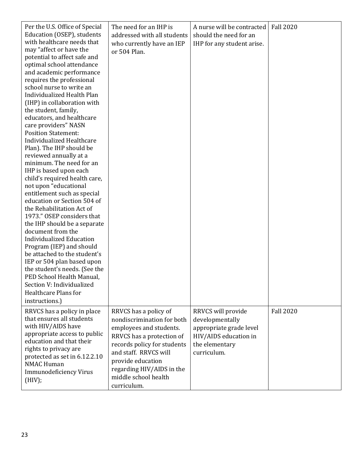| Per the U.S. Office of Special<br>Education (OSEP), students<br>with healthcare needs that<br>may "affect or have the<br>potential to affect safe and<br>optimal school attendance<br>and academic performance<br>requires the professional<br>school nurse to write an<br>Individualized Health Plan<br>(IHP) in collaboration with<br>the student, family,<br>educators, and healthcare<br>care providers" NASN<br><b>Position Statement:</b><br>Individualized Healthcare<br>Plan). The IHP should be<br>reviewed annually at a<br>minimum. The need for an<br>IHP is based upon each<br>child's required health care,<br>not upon "educational<br>entitlement such as special<br>education or Section 504 of<br>the Rehabilitation Act of<br>1973." OSEP considers that<br>the IHP should be a separate<br>document from the<br><b>Individualized Education</b><br>Program (IEP) and should<br>be attached to the student's<br>IEP or 504 plan based upon<br>the student's needs. (See the<br>PED School Health Manual,<br>Section V: Individualized<br><b>Healthcare Plans for</b><br>instructions.) | The need for an IHP is<br>addressed with all students<br>who currently have an IEP<br>or 504 Plan.                                                                                                                                                           | A nurse will be contracted<br>should the need for an<br>IHP for any student arise.                                         | <b>Fall 2020</b> |
|-----------------------------------------------------------------------------------------------------------------------------------------------------------------------------------------------------------------------------------------------------------------------------------------------------------------------------------------------------------------------------------------------------------------------------------------------------------------------------------------------------------------------------------------------------------------------------------------------------------------------------------------------------------------------------------------------------------------------------------------------------------------------------------------------------------------------------------------------------------------------------------------------------------------------------------------------------------------------------------------------------------------------------------------------------------------------------------------------------------|--------------------------------------------------------------------------------------------------------------------------------------------------------------------------------------------------------------------------------------------------------------|----------------------------------------------------------------------------------------------------------------------------|------------------|
| RRVCS has a policy in place<br>that ensures all students<br>with HIV/AIDS have<br>appropriate access to public<br>education and that their<br>rights to privacy are<br>protected as set in 6.12.2.10<br><b>NMAC Human</b><br><b>Immunodeficiency Virus</b><br>(HIV);                                                                                                                                                                                                                                                                                                                                                                                                                                                                                                                                                                                                                                                                                                                                                                                                                                      | RRVCS has a policy of<br>nondiscrimination for both<br>employees and students.<br>RRVCS has a protection of<br>records policy for students<br>and staff. RRVCS will<br>provide education<br>regarding HIV/AIDS in the<br>middle school health<br>curriculum. | RRVCS will provide<br>developmentally<br>appropriate grade level<br>HIV/AIDS education in<br>the elementary<br>curriculum. | <b>Fall 2020</b> |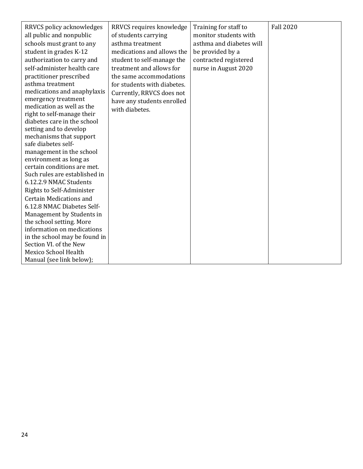| RRVCS policy acknowledges<br>all public and nonpublic<br>schools must grant to any<br>student in grades K-12<br>authorization to carry and<br>self-administer health care<br>practitioner prescribed<br>asthma treatment<br>medications and anaphylaxis<br>emergency treatment<br>medication as well as the<br>right to self-manage their<br>diabetes care in the school<br>setting and to develop<br>mechanisms that support<br>safe diabetes self-<br>management in the school<br>environment as long as<br>certain conditions are met.<br>Such rules are established in<br>6.12.2.9 NMAC Students<br>Rights to Self-Administer<br><b>Certain Medications and</b><br>6.12.8 NMAC Diabetes Self-<br>Management by Students in<br>the school setting. More<br>information on medications<br>in the school may be found in | RRVCS requires knowledge<br>of students carrying<br>asthma treatment<br>medications and allows the<br>student to self-manage the<br>treatment and allows for<br>the same accommodations<br>for students with diabetes.<br>Currently, RRVCS does not<br>have any students enrolled<br>with diabetes. | Training for staff to<br>monitor students with<br>asthma and diabetes will<br>be provided by a<br>contracted registered<br>nurse in August 2020 | <b>Fall 2020</b> |
|---------------------------------------------------------------------------------------------------------------------------------------------------------------------------------------------------------------------------------------------------------------------------------------------------------------------------------------------------------------------------------------------------------------------------------------------------------------------------------------------------------------------------------------------------------------------------------------------------------------------------------------------------------------------------------------------------------------------------------------------------------------------------------------------------------------------------|-----------------------------------------------------------------------------------------------------------------------------------------------------------------------------------------------------------------------------------------------------------------------------------------------------|-------------------------------------------------------------------------------------------------------------------------------------------------|------------------|
|                                                                                                                                                                                                                                                                                                                                                                                                                                                                                                                                                                                                                                                                                                                                                                                                                           |                                                                                                                                                                                                                                                                                                     |                                                                                                                                                 |                  |
|                                                                                                                                                                                                                                                                                                                                                                                                                                                                                                                                                                                                                                                                                                                                                                                                                           |                                                                                                                                                                                                                                                                                                     |                                                                                                                                                 |                  |
| Section VI. of the New                                                                                                                                                                                                                                                                                                                                                                                                                                                                                                                                                                                                                                                                                                                                                                                                    |                                                                                                                                                                                                                                                                                                     |                                                                                                                                                 |                  |
| Mexico School Health                                                                                                                                                                                                                                                                                                                                                                                                                                                                                                                                                                                                                                                                                                                                                                                                      |                                                                                                                                                                                                                                                                                                     |                                                                                                                                                 |                  |
| Manual (see link below);                                                                                                                                                                                                                                                                                                                                                                                                                                                                                                                                                                                                                                                                                                                                                                                                  |                                                                                                                                                                                                                                                                                                     |                                                                                                                                                 |                  |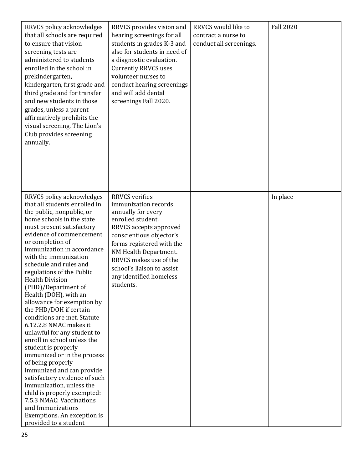| RRVCS policy acknowledges<br>that all schools are required<br>to ensure that vision<br>screening tests are<br>administered to students<br>enrolled in the school in<br>prekindergarten,<br>kindergarten, first grade and<br>third grade and for transfer<br>and new students in those<br>grades, unless a parent<br>affirmatively prohibits the<br>visual screening. The Lion's<br>Club provides screening<br>annually.                                                                                                                                                                                                                                                                                                                                                                                                                                                               | RRVCS provides vision and<br>hearing screenings for all<br>students in grades K-3 and<br>also for students in need of<br>a diagnostic evaluation.<br><b>Currently RRVCS uses</b><br>volunteer nurses to<br>conduct hearing screenings<br>and will add dental<br>screenings Fall 2020.                | RRVCS would like to<br>contract a nurse to<br>conduct all screenings. | <b>Fall 2020</b> |
|---------------------------------------------------------------------------------------------------------------------------------------------------------------------------------------------------------------------------------------------------------------------------------------------------------------------------------------------------------------------------------------------------------------------------------------------------------------------------------------------------------------------------------------------------------------------------------------------------------------------------------------------------------------------------------------------------------------------------------------------------------------------------------------------------------------------------------------------------------------------------------------|------------------------------------------------------------------------------------------------------------------------------------------------------------------------------------------------------------------------------------------------------------------------------------------------------|-----------------------------------------------------------------------|------------------|
| RRVCS policy acknowledges<br>that all students enrolled in<br>the public, nonpublic, or<br>home schools in the state<br>must present satisfactory<br>evidence of commencement<br>or completion of<br>immunization in accordance<br>with the immunization<br>schedule and rules and<br>regulations of the Public<br><b>Health Division</b><br>(PHD)/Department of<br>Health (DOH), with an<br>allowance for exemption by<br>the PHD/DOH if certain<br>conditions are met. Statute<br>6.12.2.8 NMAC makes it<br>unlawful for any student to<br>enroll in school unless the<br>student is properly<br>immunized or in the process<br>of being properly<br>immunized and can provide<br>satisfactory evidence of such<br>immunization, unless the<br>child is properly exempted:<br>7.5.3 NMAC: Vaccinations<br>and Immunizations<br>Exemptions. An exception is<br>provided to a student | <b>RRVCS</b> verifies<br>immunization records<br>annually for every<br>enrolled student.<br>RRVCS accepts approved<br>conscientious objector's<br>forms registered with the<br>NM Health Department.<br>RRVCS makes use of the<br>school's liaison to assist<br>any identified homeless<br>students. |                                                                       | In place         |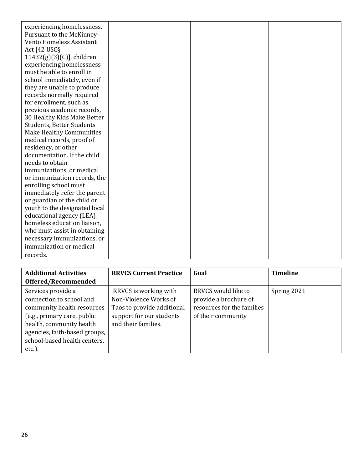| experiencing homelessness.<br>Pursuant to the McKinney-<br>Vento Homeless Assistant<br>Act [42 USC§ |  |  |
|-----------------------------------------------------------------------------------------------------|--|--|
| 11432(g)(3)(C)], children                                                                           |  |  |
| experiencing homelessness                                                                           |  |  |
| must be able to enroll in                                                                           |  |  |
| school immediately, even if                                                                         |  |  |
| they are unable to produce                                                                          |  |  |
| records normally required                                                                           |  |  |
| for enrollment, such as                                                                             |  |  |
| previous academic records,                                                                          |  |  |
| 30 Healthy Kids Make Better                                                                         |  |  |
| <b>Students, Better Students</b>                                                                    |  |  |
| Make Healthy Communities                                                                            |  |  |
| medical records, proof of                                                                           |  |  |
| residency, or other                                                                                 |  |  |
| documentation. If the child                                                                         |  |  |
| needs to obtain                                                                                     |  |  |
| immunizations, or medical                                                                           |  |  |
| or immunization records, the                                                                        |  |  |
| enrolling school must                                                                               |  |  |
| immediately refer the parent                                                                        |  |  |
| or guardian of the child or                                                                         |  |  |
| youth to the designated local                                                                       |  |  |
| educational agency (LEA)                                                                            |  |  |
| homeless education liaison,                                                                         |  |  |
| who must assist in obtaining                                                                        |  |  |
| necessary immunizations, or                                                                         |  |  |
| immunization or medical                                                                             |  |  |
| records.                                                                                            |  |  |

| <b>Additional Activities</b>  | <b>RRVCS Current Practice</b> | Goal                       | <b>Timeline</b> |
|-------------------------------|-------------------------------|----------------------------|-----------------|
| Offered/Recommended           |                               |                            |                 |
| Services provide a            | RRVCS is working with         | RRVCS would like to        | Spring 2021     |
| connection to school and      | Non-Violence Works of         | provide a brochure of      |                 |
| community health resources    | Taos to provide additional    | resources for the families |                 |
| (e.g., primary care, public   | support for our students      | of their community         |                 |
| health, community health      | and their families.           |                            |                 |
| agencies, faith-based groups, |                               |                            |                 |
| school-based health centers,  |                               |                            |                 |
| $etc.$ ).                     |                               |                            |                 |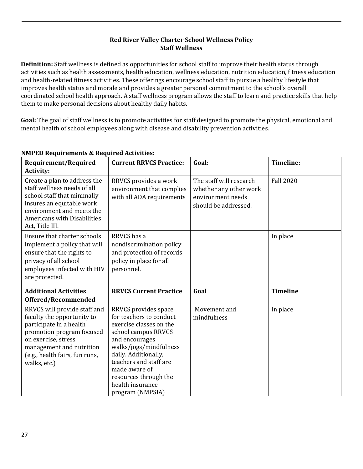# **Red River Valley Charter School Wellness Policy Staff Wellness**

**Definition:** Staff wellness is defined as opportunities for school staff to improve their health status through activities such as health assessments, health education, wellness education, nutrition education, fitness education and health-related fitness activities. These offerings encourage school staff to pursue a healthy lifestyle that improves health status and morale and provides a greater personal commitment to the school's overall coordinated school health approach. A staff wellness program allows the staff to learn and practice skills that help them to make personal decisions about healthy daily habits.

Goal: The goal of staff wellness is to promote activities for staff designed to promote the physical, emotional and mental health of school employees along with disease and disability prevention activities.

| Requirement/Required<br><b>Activity:</b>                                                                                                                                                                                | <b>Current RRVCS Practice:</b>                                                                                                                                                                                                                                                    | Goal:                                                                                          | Timeline:        |
|-------------------------------------------------------------------------------------------------------------------------------------------------------------------------------------------------------------------------|-----------------------------------------------------------------------------------------------------------------------------------------------------------------------------------------------------------------------------------------------------------------------------------|------------------------------------------------------------------------------------------------|------------------|
| Create a plan to address the<br>staff wellness needs of all<br>school staff that minimally<br>insures an equitable work<br>environment and meets the<br><b>Americans with Disabilities</b><br>Act, Title III.           | RRVCS provides a work<br>environment that complies<br>with all ADA requirements                                                                                                                                                                                                   | The staff will research<br>whether any other work<br>environment needs<br>should be addressed. | <b>Fall 2020</b> |
| Ensure that charter schools<br>implement a policy that will<br>ensure that the rights to<br>privacy of all school<br>employees infected with HIV<br>are protected.                                                      | RRVCS has a<br>nondiscrimination policy<br>and protection of records<br>policy in place for all<br>personnel.                                                                                                                                                                     |                                                                                                | In place         |
| <b>Additional Activities</b><br>Offered/Recommended                                                                                                                                                                     | <b>RRVCS Current Practice</b>                                                                                                                                                                                                                                                     | Goal                                                                                           | <b>Timeline</b>  |
| RRVCS will provide staff and<br>faculty the opportunity to<br>participate in a health<br>promotion program focused<br>on exercise, stress<br>management and nutrition<br>(e.g., health fairs, fun runs,<br>walks, etc.) | RRVCS provides space<br>for teachers to conduct<br>exercise classes on the<br>school campus RRVCS<br>and encourages<br>walks/jogs/mindfulness<br>daily. Additionally,<br>teachers and staff are<br>made aware of<br>resources through the<br>health insurance<br>program (NMPSIA) | Movement and<br>mindfulness                                                                    | In place         |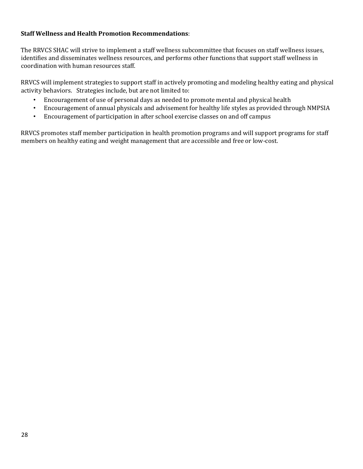## **Staff Wellness and Health Promotion Recommendations:**

The RRVCS SHAC will strive to implement a staff wellness subcommittee that focuses on staff wellness issues, identifies and disseminates wellness resources, and performs other functions that support staff wellness in coordination with human resources staff.

RRVCS will implement strategies to support staff in actively promoting and modeling healthy eating and physical activity behaviors. Strategies include, but are not limited to:

- Encouragement of use of personal days as needed to promote mental and physical health
- Encouragement of annual physicals and advisement for healthy life styles as provided through NMPSIA
- Encouragement of participation in after school exercise classes on and off campus

RRVCS promotes staff member participation in health promotion programs and will support programs for staff members on healthy eating and weight management that are accessible and free or low-cost.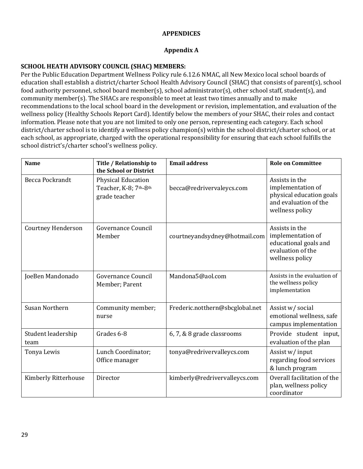## **APPENDICES**

# Appendix A

# **SCHOOL HEATH ADVISORY COUNCIL (SHAC) MEMBERS:**

Per the Public Education Department Wellness Policy rule 6.12.6 NMAC, all New Mexico local school boards of education shall establish a district/charter School Health Advisory Council (SHAC) that consists of parent(s), school food authority personnel, school board member(s), school administrator(s), other school staff, student(s), and community member(s). The SHACs are responsible to meet at least two times annually and to make recommendations to the local school board in the development or revision, implementation, and evaluation of the wellness policy (Healthy Schools Report Card). Identify below the members of your SHAC, their roles and contact information. Please note that you are not limited to only one person, representing each category. Each school district/charter school is to identify a wellness policy champion(s) within the school district/charter school, or at each school, as appropriate, charged with the operational responsibility for ensuring that each school fulfills the school district's/charter school's wellness policy.

| <b>Name</b>                | Title / Relationship to<br>the School or District                   | <b>Email address</b>            | <b>Role on Committee</b>                                                                                    |
|----------------------------|---------------------------------------------------------------------|---------------------------------|-------------------------------------------------------------------------------------------------------------|
| Becca Pockrandt            | <b>Physical Education</b><br>Teacher, K-8; 7th-8th<br>grade teacher | becca@redrivervaleycs.com       | Assists in the<br>implementation of<br>physical education goals<br>and evaluation of the<br>wellness policy |
| <b>Courtney Henderson</b>  | Governance Council<br>Member                                        | courtneyandsydney@hotmail.com   | Assists in the<br>implementation of<br>educational goals and<br>evaluation of the<br>wellness policy        |
| JoeBen Mandonado           | Governance Council<br>Member; Parent                                | Mandona5@aol.com                | Assists in the evaluation of<br>the wellness policy<br>implementation                                       |
| <b>Susan Northern</b>      | Community member;<br>nurse                                          | Frederic.notthern@sbcglobal.net | Assist w/ social<br>emotional wellness, safe<br>campus implementation                                       |
| Student leadership<br>team | Grades 6-8                                                          | 6, 7, & 8 grade classrooms      | Provide student input,<br>evaluation of the plan                                                            |
| Tonya Lewis                | Lunch Coordinator;<br>Office manager                                | tonya@redrivervalleycs.com      | Assist w/ input<br>regarding food services<br>& lunch program                                               |
| Kimberly Ritterhouse       | Director                                                            | kimberly@redrivervalleycs.com   | Overall facilitation of the<br>plan, wellness policy<br>coordinator                                         |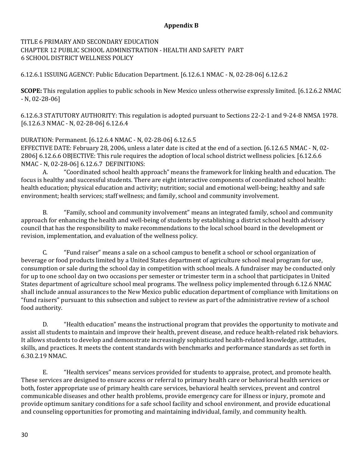## **Appendix B**

# TITLE 6 PRIMARY AND SECONDARY EDUCATION CHAPTER 12 PUBLIC SCHOOL ADMINISTRATION - HEALTH AND SAFETY PART **6 SCHOOL DISTRICT WELLNESS POLICY**

6.12.6.1 ISSUING AGENCY: Public Education Department. [6.12.6.1 NMAC - N, 02-28-06] 6.12.6.2

**SCOPE:** This regulation applies to public schools in New Mexico unless otherwise expressly limited. [6.12.6.2 NMAC  $-N, 02-28-06$ ]

6.12.6.3 STATUTORY AUTHORITY: This regulation is adopted pursuant to Sections 22-2-1 and 9-24-8 NMSA 1978. [6.12.6.3 NMAC - N, 02-28-06] 6.12.6.4

DURATION: Permanent. [6.12.6.4 NMAC - N, 02-28-06] 6.12.6.5

EFFECTIVE DATE: February 28, 2006, unless a later date is cited at the end of a section. [6.12.6.5 NMAC - N, 02-2806] 6.12.6.6 OBJECTIVE: This rule requires the adoption of local school district wellness policies. [6.12.6.6] NMAC - N, 02-28-06] 6.12.6.7 DEFINITIONS:

A. "Coordinated school health approach" means the framework for linking health and education. The focus is healthy and successful students. There are eight interactive components of coordinated school health: health education; physical education and activity; nutrition; social and emotional well-being; healthy and safe environment; health services; staff wellness; and family, school and community involvement.

B. "Family, school and community involvement" means an integrated family, school and community approach for enhancing the health and well-being of students by establishing a district school health advisory council that has the responsibility to make recommendations to the local school board in the development or revision, implementation, and evaluation of the wellness policy.

C. "Fund raiser" means a sale on a school campus to benefit a school or school organization of beverage or food products limited by a United States department of agriculture school meal program for use, consumption or sale during the school day in competition with school meals. A fundraiser may be conducted only for up to one school day on two occasions per semester or trimester term in a school that participates in United States department of agriculture school meal programs. The wellness policy implemented through 6.12.6 NMAC shall include annual assurances to the New Mexico public education department of compliance with limitations on "fund raisers" pursuant to this subsection and subject to review as part of the administrative review of a school food authority.

D. "Health education" means the instructional program that provides the opportunity to motivate and assist all students to maintain and improve their health, prevent disease, and reduce health-related risk behaviors. It allows students to develop and demonstrate increasingly sophisticated health-related knowledge, attitudes, skills, and practices. It meets the content standards with benchmarks and performance standards as set forth in 6.30.2.19 NMAC.

E. "Health services" means services provided for students to appraise, protect, and promote health. These services are designed to ensure access or referral to primary health care or behavioral health services or both, foster appropriate use of primary health care services, behavioral health services, prevent and control communicable diseases and other health problems, provide emergency care for illness or injury, promote and provide optimum sanitary conditions for a safe school facility and school environment, and provide educational and counseling opportunities for promoting and maintaining individual, family, and community health.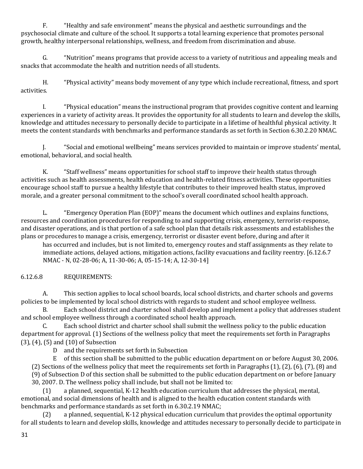F. "Healthy and safe environment" means the physical and aesthetic surroundings and the psychosocial climate and culture of the school. It supports a total learning experience that promotes personal growth, healthy interpersonal relationships, wellness, and freedom from discrimination and abuse.

G. "Nutrition" means programs that provide access to a variety of nutritious and appealing meals and snacks that accommodate the health and nutrition needs of all students.

H. "Physical activity" means body movement of any type which include recreational, fitness, and sport activities. 

I. "Physical education" means the instructional program that provides cognitive content and learning experiences in a variety of activity areas. It provides the opportunity for all students to learn and develop the skills, knowledge and attitudes necessary to personally decide to participate in a lifetime of healthful physical activity. It meets the content standards with benchmarks and performance standards as set forth in Section 6.30.2.20 NMAC.

J. "Social and emotional wellbeing" means services provided to maintain or improve students' mental, emotional, behavioral, and social health.

K. "Staff wellness" means opportunities for school staff to improve their health status through activities such as health assessments, health education and health-related fitness activities. These opportunities encourage school staff to pursue a healthy lifestyle that contributes to their improved health status, improved morale, and a greater personal commitment to the school's overall coordinated school health approach.

L. "Emergency Operation Plan (EOP)" means the document which outlines and explains functions, resources and coordination procedures for responding to and supporting crisis, emergency, terrorist-response, and disaster operations, and is that portion of a safe school plan that details risk assessments and establishes the plans or procedures to manage a crisis, emergency, terrorist or disaster event before, during and after it

has occurred and includes, but is not limited to, emergency routes and staff assignments as they relate to immediate actions, delayed actions, mitigation actions, facility evacuations and facility reentry. [6.12.6.7] NMAC - N, 02-28-06; A, 11-30-06; A, 05-15-14; A, 12-30-14]

# 6.12.6.8 REQUIREMENTS:

A. This section applies to local school boards, local school districts, and charter schools and governs policies to be implemented by local school districts with regards to student and school employee wellness.

B. Each school district and charter school shall develop and implement a policy that addresses student and school employee wellness through a coordinated school health approach.

C. Each school district and charter school shall submit the wellness policy to the public education department for approval. (1) Sections of the wellness policy that meet the requirements set forth in Paragraphs  $(3)$ ,  $(4)$ ,  $(5)$  and  $(10)$  of Subsection

D and the requirements set forth in Subsection

E of this section shall be submitted to the public education department on or before August 30, 2006.

(2) Sections of the wellness policy that meet the requirements set forth in Paragraphs  $(1)$ ,  $(2)$ ,  $(6)$ ,  $(7)$ ,  $(8)$  and (9) of Subsection D of this section shall be submitted to the public education department on or before January

30, 2007. D. The wellness policy shall include, but shall not be limited to:

(1) a planned, sequential, K-12 health education curriculum that addresses the physical, mental, emotional, and social dimensions of health and is aligned to the health education content standards with benchmarks and performance standards as set forth in 6.30.2.19 NMAC;

(2) a planned, sequential, K-12 physical education curriculum that provides the optimal opportunity for all students to learn and develop skills, knowledge and attitudes necessary to personally decide to participate in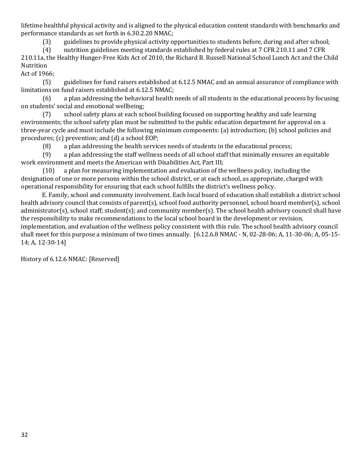lifetime healthful physical activity and is aligned to the physical education content standards with benchmarks and performance standards as set forth in 6.30.2.20 NMAC;

(3) guidelines to provide physical activity opportunities to students before, during and after school;

(4) nutrition guidelines meeting standards established by federal rules at 7 CFR 210.11 and 7 CFR 210.11a, the Healthy Hunger-Free Kids Act of 2010, the Richard B. Russell National School Lunch Act and the Child Nutrition 

Act of 1966;

(5) guidelines for fund raisers established at 6.12.5 NMAC and an annual assurance of compliance with limitations on fund raisers established at 6.12.5 NMAC;

 $(6)$  a plan addressing the behavioral health needs of all students in the educational process by focusing on students' social and emotional wellbeing;

(7) school safety plans at each school building focused on supporting healthy and safe learning environments; the school safety plan must be submitted to the public education department for approval on a three-year cycle and must include the following minimum components: (a) introduction; (b) school policies and procedures;  $(c)$  prevention; and  $(d)$  a school EOP;

(8) a plan addressing the health services needs of students in the educational process;

(9) a plan addressing the staff wellness needs of all school staff that minimally ensures an equitable work environment and meets the American with Disabilities Act, Part III;

 $(10)$  a plan for measuring implementation and evaluation of the wellness policy, including the designation of one or more persons within the school district, or at each school, as appropriate, charged with operational responsibility for ensuring that each school fulfills the district's wellness policy.

E. Family, school and community involvement. Each local board of education shall establish a district school health advisory council that consists of parent(s), school food authority personnel, school board member(s), school administrator(s), school staff; student(s); and community member(s). The school health advisory council shall have the responsibility to make recommendations to the local school board in the development or revision, implementation, and evaluation of the wellness policy consistent with this rule. The school health advisory council

shall meet for this purpose a minimum of two times annually. [6.12.6.8 NMAC - N, 02-28-06; A, 11-30-06; A, 05-15-14; A, 12-30-14]

History of 6.12.6 NMAC: [Reserved]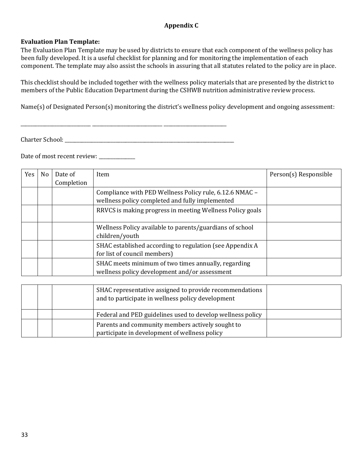# **Appendix C**

#### **Evaluation Plan Template:**

The Evaluation Plan Template may be used by districts to ensure that each component of the wellness policy has been fully developed. It is a useful checklist for planning and for monitoring the implementation of each component. The template may also assist the schools in assuring that all statutes related to the policy are in place.

This checklist should be included together with the wellness policy materials that are presented by the district to members of the Public Education Department during the CSHWB nutrition administrative review process.

Name(s) of Designated Person(s) monitoring the district's wellness policy development and ongoing assessment:

Charter School: \_\_\_\_\_\_\_\_\_\_\_\_\_\_\_\_\_\_\_\_\_\_\_\_\_\_\_\_\_\_\_\_\_\_\_\_\_\_\_\_\_\_\_\_\_\_\_\_\_\_\_\_\_\_\_\_\_\_\_\_\_\_\_\_\_\_\_\_\_\_ 

Date of most recent review: \_\_\_\_\_\_\_\_\_\_\_\_\_

| Yes | No | Date of<br>Completion | Item                                                                                                       | Person(s) Responsible |
|-----|----|-----------------------|------------------------------------------------------------------------------------------------------------|-----------------------|
|     |    |                       | Compliance with PED Wellness Policy rule, 6.12.6 NMAC -<br>wellness policy completed and fully implemented |                       |
|     |    |                       | RRVCS is making progress in meeting Wellness Policy goals                                                  |                       |
|     |    |                       | Wellness Policy available to parents/guardians of school<br>children/youth                                 |                       |
|     |    |                       | SHAC established according to regulation (see Appendix A)<br>for list of council members)                  |                       |
|     |    |                       | SHAC meets minimum of two times annually, regarding<br>wellness policy development and/or assessment       |                       |

|  | SHAC representative assigned to provide recommendations<br>and to participate in wellness policy development |  |
|--|--------------------------------------------------------------------------------------------------------------|--|
|  | Federal and PED guidelines used to develop wellness policy                                                   |  |
|  | Parents and community members actively sought to<br>participate in development of wellness policy            |  |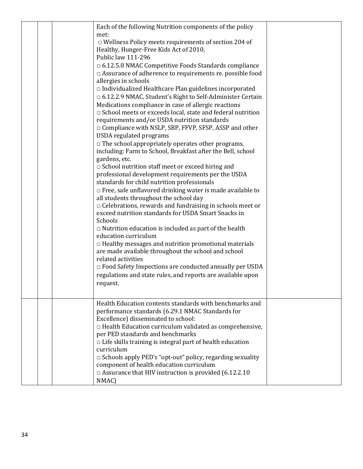|  | Each of the following Nutrition components of the policy<br>met:<br>$\Box$ Wellness Policy meets requirements of section 204 of<br>Healthy, Hunger-Free Kids Act of 2010,<br>Public law 111-296<br>$\Box$ 6.12.5.8 NMAC Competitive Foods Standards compliance<br>$\Box$ Assurance of adherence to requirements re. possible food<br>allergies in schools<br>$\Box$ Individualized Healthcare Plan guidelines incorporated<br>□ 6.12.2.9 NMAC, Student's Right to Self-Administer Certain<br>Medications compliance in case of allergic reactions<br>$\Box$ School meets or exceeds local, state and federal nutrition<br>requirements and/or USDA nutrition standards<br>□ Compliance with NSLP, SBP, FFVP, SFSP, ASSP and other<br><b>USDA</b> regulated programs<br>$\Box$ The school appropriately operates other programs,<br>including: Farm to School, Breakfast after the Bell, school<br>gardens, etc.<br>$\Box$ School nutrition staff meet or exceed hiring and<br>professional development requirements per the USDA<br>standards for child nutrition professionals<br>$\Box$ Free, safe unflavored drinking water is made available to<br>all students throughout the school day<br>$\Box$ Celebrations, rewards and fundraising in schools meet or<br>exceed nutrition standards for USDA Smart Snacks in<br>Schools<br>$\Box$ Nutrition education is included as part of the health<br>education curriculum<br>$\Box$ Healthy messages and nutrition promotional materials<br>are made available throughout the school and school<br>related activities<br>$\Box$ Food Safety Inspections are conducted annually per USDA<br>regulations and state rules, and reports are available upon<br>request. |  |
|--|---------------------------------------------------------------------------------------------------------------------------------------------------------------------------------------------------------------------------------------------------------------------------------------------------------------------------------------------------------------------------------------------------------------------------------------------------------------------------------------------------------------------------------------------------------------------------------------------------------------------------------------------------------------------------------------------------------------------------------------------------------------------------------------------------------------------------------------------------------------------------------------------------------------------------------------------------------------------------------------------------------------------------------------------------------------------------------------------------------------------------------------------------------------------------------------------------------------------------------------------------------------------------------------------------------------------------------------------------------------------------------------------------------------------------------------------------------------------------------------------------------------------------------------------------------------------------------------------------------------------------------------------------------------------------------------------------------------------|--|
|  | Health Education contents standards with benchmarks and<br>performance standards (6.29.1 NMAC Standards for<br>Excellence) disseminated to school:<br>$\Box$ Health Education curriculum validated as comprehensive,<br>per PED standards and benchmarks<br>$\Box$ Life skills training is integral part of health education<br>curriculum<br>$\square$ Schools apply PED's "opt-out" policy, regarding sexuality<br>component of health education curriculum<br>$\Box$ Assurance that HIV instruction is provided (6.12.2.10<br>NMAC)                                                                                                                                                                                                                                                                                                                                                                                                                                                                                                                                                                                                                                                                                                                                                                                                                                                                                                                                                                                                                                                                                                                                                                              |  |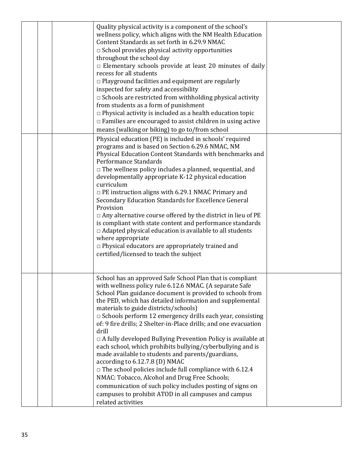|  | Quality physical activity is a component of the school's<br>wellness policy, which aligns with the NM Health Education<br>Content Standards as set forth in 6.29.9 NMAC<br>$\square$ School provides physical activity opportunities<br>throughout the school day<br>$\Box$ Elementary schools provide at least 20 minutes of daily<br>recess for all students<br>□ Playground facilities and equipment are regularly<br>inspected for safety and accessibility<br>□ Schools are restricted from withholding physical activity<br>from students as a form of punishment<br>$\Box$ Physical activity is included as a health education topic<br>$\Box$ Families are encouraged to assist children in using active<br>means (walking or biking) to go to/from school                                                                                                                                                                |  |
|--|-----------------------------------------------------------------------------------------------------------------------------------------------------------------------------------------------------------------------------------------------------------------------------------------------------------------------------------------------------------------------------------------------------------------------------------------------------------------------------------------------------------------------------------------------------------------------------------------------------------------------------------------------------------------------------------------------------------------------------------------------------------------------------------------------------------------------------------------------------------------------------------------------------------------------------------|--|
|  | Physical education (PE) is included in schools' required<br>programs and is based on Section 6.29.6 NMAC, NM<br>Physical Education Content Standards with benchmarks and<br>Performance Standards<br>$\Box$ The wellness policy includes a planned, sequential, and<br>developmentally appropriate K-12 physical education<br>curriculum<br>$\Box$ PE instruction aligns with 6.29.1 NMAC Primary and<br>Secondary Education Standards for Excellence General<br>Provision<br>$\Box$ Any alternative course offered by the district in lieu of PE<br>is compliant with state content and performance standards<br>$\Box$ Adapted physical education is available to all students<br>where appropriate<br>p Physical educators are appropriately trained and<br>certified/licensed to teach the subject                                                                                                                            |  |
|  | School has an approved Safe School Plan that is compliant<br>with wellness policy rule 6.12.6 NMAC. (A separate Safe<br>School Plan guidance document is provided to schools from<br>the PED, which has detailed information and supplemental<br>materials to guide districts/schools)<br>$\Box$ Schools perform 12 emergency drills each year, consisting<br>of: 9 fire drills; 2 Shelter-in-Place drills; and one evacuation<br>drill<br>$\Box$ A fully developed Bullying Prevention Policy is available at<br>each school, which prohibits bullying/cyberbullying and is<br>made available to students and parents/guardians,<br>according to 6.12.7.8 (D) NMAC<br>$\Box$ The school policies include full compliance with 6.12.4<br>NMAC: Tobacco, Alcohol and Drug Free Schools;<br>communication of such policy includes posting of signs on<br>campuses to prohibit ATOD in all campuses and campus<br>related activities |  |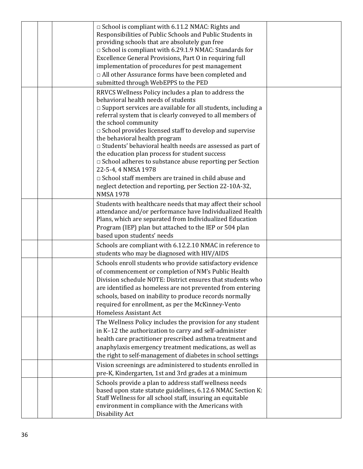|  | $\Box$ School is compliant with 6.11.2 NMAC: Rights and<br>Responsibilities of Public Schools and Public Students in<br>providing schools that are absolutely gun free<br>$\Box$ School is compliant with 6.29.1.9 NMAC: Standards for<br>Excellence General Provisions, Part O in requiring full<br>implementation of procedures for pest management<br>□ All other Assurance forms have been completed and<br>submitted through WebEPPS to the PED                                                                                                                                                                                                                                                                  |  |
|--|-----------------------------------------------------------------------------------------------------------------------------------------------------------------------------------------------------------------------------------------------------------------------------------------------------------------------------------------------------------------------------------------------------------------------------------------------------------------------------------------------------------------------------------------------------------------------------------------------------------------------------------------------------------------------------------------------------------------------|--|
|  | RRVCS Wellness Policy includes a plan to address the<br>behavioral health needs of students<br>$\square$ Support services are available for all students, including a<br>referral system that is clearly conveyed to all members of<br>the school community<br>$\Box$ School provides licensed staff to develop and supervise<br>the behavioral health program<br>□ Students' behavioral health needs are assessed as part of<br>the education plan process for student success<br>$\Box$ School adheres to substance abuse reporting per Section<br>22-5-4, 4 NMSA 1978<br>$\Box$ School staff members are trained in child abuse and<br>neglect detection and reporting, per Section 22-10A-32,<br><b>NMSA 1978</b> |  |
|  | Students with healthcare needs that may affect their school<br>attendance and/or performance have Individualized Health<br>Plans, which are separated from Individualized Education<br>Program (IEP) plan but attached to the IEP or 504 plan<br>based upon students' needs                                                                                                                                                                                                                                                                                                                                                                                                                                           |  |
|  | Schools are compliant with 6.12.2.10 NMAC in reference to<br>students who may be diagnosed with HIV/AIDS                                                                                                                                                                                                                                                                                                                                                                                                                                                                                                                                                                                                              |  |
|  | Schools enroll students who provide satisfactory evidence<br>of commencement or completion of NM's Public Health<br>Division schedule NOTE: District ensures that students who<br>are identified as homeless are not prevented from entering<br>schools, based on inability to produce records normally<br>required for enrollment, as per the McKinney-Vento<br><b>Homeless Assistant Act</b>                                                                                                                                                                                                                                                                                                                        |  |
|  | The Wellness Policy includes the provision for any student<br>in K-12 the authorization to carry and self-administer<br>health care practitioner prescribed asthma treatment and<br>anaphylaxis emergency treatment medications, as well as<br>the right to self-management of diabetes in school settings                                                                                                                                                                                                                                                                                                                                                                                                            |  |
|  | Vision screenings are administered to students enrolled in<br>pre-K, Kindergarten, 1st and 3rd grades at a minimum                                                                                                                                                                                                                                                                                                                                                                                                                                                                                                                                                                                                    |  |
|  | Schools provide a plan to address staff wellness needs<br>based upon state statute guidelines, 6.12.6 NMAC Section K:<br>Staff Wellness for all school staff, insuring an equitable<br>environment in compliance with the Americans with<br>Disability Act                                                                                                                                                                                                                                                                                                                                                                                                                                                            |  |